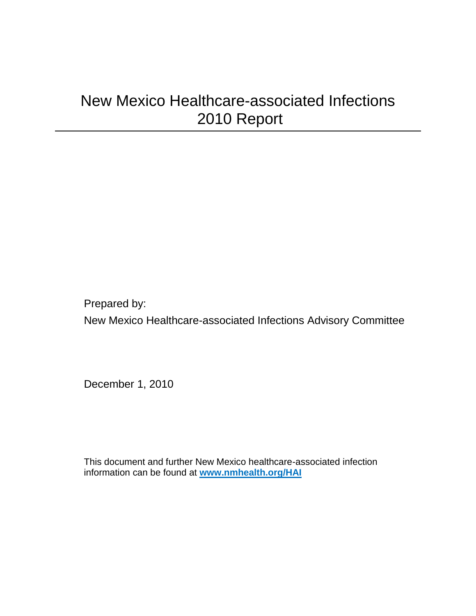# New Mexico Healthcare-associated Infections 2010 Report

Prepared by: New Mexico Healthcare-associated Infections Advisory Committee

December 1, 2010

This document and further New Mexico healthcare-associated infection information can be found at **[www.nmhealth.org/HAI](http://www.nmhealth.org/HAI)**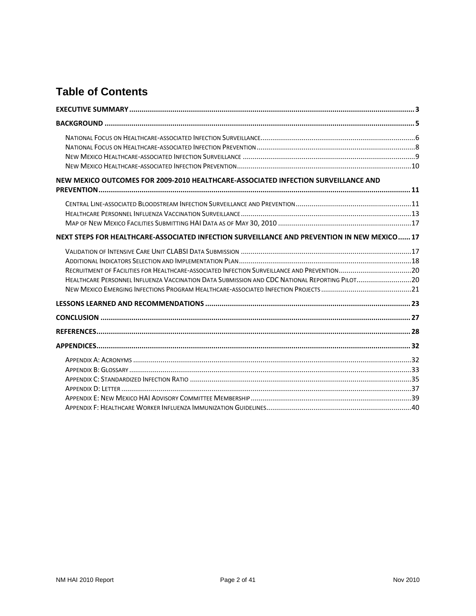## **Table of Contents**

| NEW MEXICO OUTCOMES FOR 2009-2010 HEALTHCARE-ASSOCIATED INFECTION SURVEILLANCE AND            |  |
|-----------------------------------------------------------------------------------------------|--|
|                                                                                               |  |
| NEXT STEPS FOR HEALTHCARE-ASSOCIATED INFECTION SURVEILLANCE AND PREVENTION IN NEW MEXICO 17   |  |
| HEALTHCARE PERSONNEL INFLUENZA VACCINATION DATA SUBMISSION AND CDC NATIONAL REPORTING PILOT20 |  |
|                                                                                               |  |
|                                                                                               |  |
|                                                                                               |  |
|                                                                                               |  |
|                                                                                               |  |
|                                                                                               |  |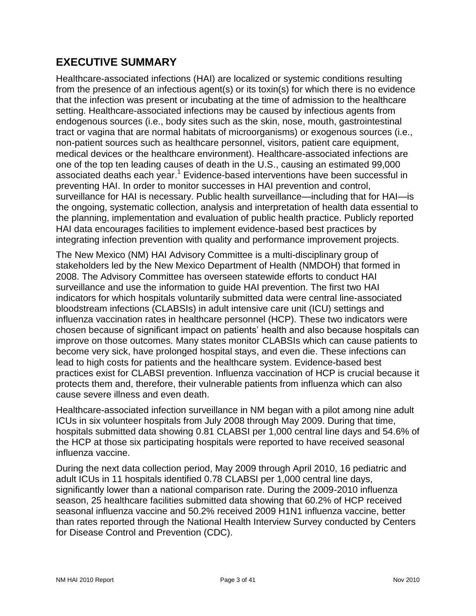### <span id="page-2-0"></span>**EXECUTIVE SUMMARY**

Healthcare-associated infections (HAI) are localized or systemic conditions resulting from the presence of an infectious agent(s) or its toxin(s) for which there is no evidence that the infection was present or incubating at the time of admission to the healthcare setting. Healthcare-associated infections may be caused by infectious agents from endogenous sources (i.e., body sites such as the skin, nose, mouth, gastrointestinal tract or vagina that are normal habitats of microorganisms) or exogenous sources (i.e., non-patient sources such as healthcare personnel, visitors, patient care equipment, medical devices or the healthcare environment). Healthcare-associated infections are one of the top ten leading causes of death in the U.S., causing an estimated 99,000 associated deaths each year.<sup>1</sup> Evidence-based interventions have been successful in preventing HAI. In order to monitor successes in HAI prevention and control, surveillance for HAI is necessary. Public health surveillance—including that for HAI—is the ongoing, systematic collection, analysis and interpretation of health data essential to the planning, implementation and evaluation of public health practice. Publicly reported HAI data encourages facilities to implement evidence-based best practices by integrating infection prevention with quality and performance improvement projects.

The New Mexico (NM) HAI Advisory Committee is a multi-disciplinary group of stakeholders led by the New Mexico Department of Health (NMDOH) that formed in 2008. The Advisory Committee has overseen statewide efforts to conduct HAI surveillance and use the information to guide HAI prevention. The first two HAI indicators for which hospitals voluntarily submitted data were central line-associated bloodstream infections (CLABSIs) in adult intensive care unit (ICU) settings and influenza vaccination rates in healthcare personnel (HCP). These two indicators were chosen because of significant impact on patients' health and also because hospitals can improve on those outcomes. Many states monitor CLABSIs which can cause patients to become very sick, have prolonged hospital stays, and even die. These infections can lead to high costs for patients and the healthcare system. Evidence-based best practices exist for CLABSI prevention. Influenza vaccination of HCP is crucial because it protects them and, therefore, their vulnerable patients from influenza which can also cause severe illness and even death.

Healthcare-associated infection surveillance in NM began with a pilot among nine adult ICUs in six volunteer hospitals from July 2008 through May 2009. During that time, hospitals submitted data showing 0.81 CLABSI per 1,000 central line days and 54.6% of the HCP at those six participating hospitals were reported to have received seasonal influenza vaccine.

During the next data collection period, May 2009 through April 2010, 16 pediatric and adult ICUs in 11 hospitals identified 0.78 CLABSI per 1,000 central line days, significantly lower than a national comparison rate. During the 2009-2010 influenza season, 25 healthcare facilities submitted data showing that 60.2% of HCP received seasonal influenza vaccine and 50.2% received 2009 H1N1 influenza vaccine, better than rates reported through the National Health Interview Survey conducted by Centers for Disease Control and Prevention (CDC).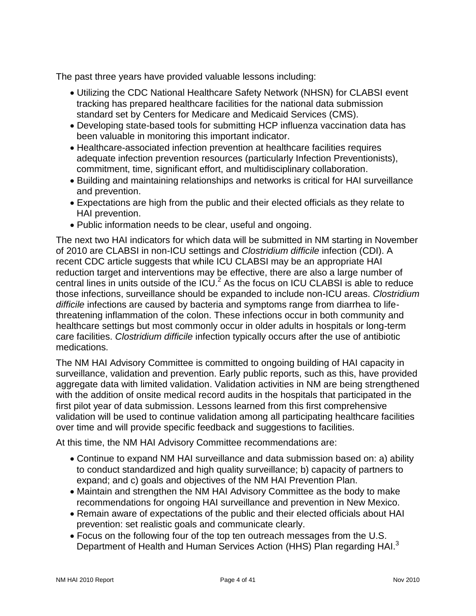The past three years have provided valuable lessons including:

- Utilizing the CDC National Healthcare Safety Network (NHSN) for CLABSI event tracking has prepared healthcare facilities for the national data submission standard set by Centers for Medicare and Medicaid Services (CMS).
- Developing state-based tools for submitting HCP influenza vaccination data has been valuable in monitoring this important indicator.
- Healthcare-associated infection prevention at healthcare facilities requires adequate infection prevention resources (particularly Infection Preventionists), commitment, time, significant effort, and multidisciplinary collaboration.
- Building and maintaining relationships and networks is critical for HAI surveillance and prevention.
- Expectations are high from the public and their elected officials as they relate to HAI prevention.
- Public information needs to be clear, useful and ongoing.

The next two HAI indicators for which data will be submitted in NM starting in November of 2010 are CLABSI in non-ICU settings and *Clostridium difficile* infection (CDI). A recent CDC article suggests that while ICU CLABSI may be an appropriate HAI reduction target and interventions may be effective, there are also a large number of central lines in units outside of the  $ICU<sup>2</sup>$ . As the focus on ICU CLABSI is able to reduce those infections, surveillance should be expanded to include non-ICU areas. *Clostridium difficile* infections are caused by bacteria and symptoms range from diarrhea to lifethreatening inflammation of the colon. These infections occur in both community and healthcare settings but most commonly occur in older adults in hospitals or long-term care facilities. *Clostridium difficile* infection typically occurs after the use of antibiotic medications.

The NM HAI Advisory Committee is committed to ongoing building of HAI capacity in surveillance, validation and prevention. Early public reports, such as this, have provided aggregate data with limited validation. Validation activities in NM are being strengthened with the addition of onsite medical record audits in the hospitals that participated in the first pilot year of data submission. Lessons learned from this first comprehensive validation will be used to continue validation among all participating healthcare facilities over time and will provide specific feedback and suggestions to facilities.

At this time, the NM HAI Advisory Committee recommendations are:

- Continue to expand NM HAI surveillance and data submission based on: a) ability to conduct standardized and high quality surveillance; b) capacity of partners to expand; and c) goals and objectives of the NM HAI Prevention Plan.
- Maintain and strengthen the NM HAI Advisory Committee as the body to make recommendations for ongoing HAI surveillance and prevention in New Mexico.
- Remain aware of expectations of the public and their elected officials about HAI prevention: set realistic goals and communicate clearly.
- Focus on the following four of the top ten outreach messages from the U.S. Department of Health and Human Services Action (HHS) Plan regarding HAI.<sup>3</sup>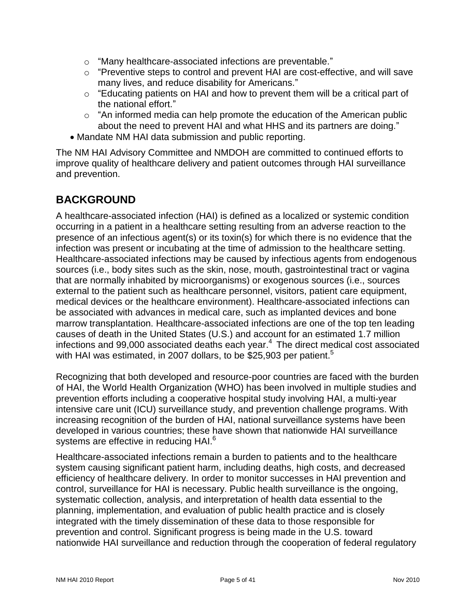- "Many healthcare-associated infections are preventable."
- $\circ$  "Preventive steps to control and prevent HAI are cost-effective, and will save many lives, and reduce disability for Americans."
- $\circ$  "Educating patients on HAI and how to prevent them will be a critical part of the national effort."
- $\circ$  "An informed media can help promote the education of the American public about the need to prevent HAI and what HHS and its partners are doing."
- Mandate NM HAI data submission and public reporting.

The NM HAI Advisory Committee and NMDOH are committed to continued efforts to improve quality of healthcare delivery and patient outcomes through HAI surveillance and prevention.

### <span id="page-4-0"></span>**BACKGROUND**

A healthcare-associated infection (HAI) is defined as a localized or systemic condition occurring in a patient in a healthcare setting resulting from an adverse reaction to the presence of an infectious agent(s) or its toxin(s) for which there is no evidence that the infection was present or incubating at the time of admission to the healthcare setting. Healthcare-associated infections may be caused by infectious agents from endogenous sources (i.e., body sites such as the skin, nose, mouth, gastrointestinal tract or vagina that are normally inhabited by microorganisms) or exogenous sources (i.e., sources external to the patient such as healthcare personnel, visitors, patient care equipment, medical devices or the healthcare environment). Healthcare-associated infections can be associated with advances in medical care, such as implanted devices and bone marrow transplantation. Healthcare-associated infections are one of the top ten leading causes of death in the United States (U.S.) and account for an estimated 1.7 million infections and 99,000 associated deaths each year. $4\,$  The direct medical cost associated with HAI was estimated, in 2007 dollars, to be \$25,903 per patient.<sup>5</sup>

Recognizing that both developed and resource-poor countries are faced with the burden of HAI, the World Health Organization (WHO) has been involved in multiple studies and prevention efforts including a cooperative hospital study involving HAI, a multi-year intensive care unit (ICU) surveillance study, and prevention challenge programs. With increasing recognition of the burden of HAI, national surveillance systems have been developed in various countries; these have shown that nationwide HAI surveillance systems are effective in reducing HAI.<sup>6</sup>

Healthcare-associated infections remain a burden to patients and to the healthcare system causing significant patient harm, including deaths, high costs, and decreased efficiency of healthcare delivery. In order to monitor successes in HAI prevention and control, surveillance for HAI is necessary. Public health surveillance is the ongoing, systematic collection, analysis, and interpretation of health data essential to the planning, implementation, and evaluation of public health practice and is closely integrated with the timely dissemination of these data to those responsible for prevention and control. Significant progress is being made in the U.S. toward nationwide HAI surveillance and reduction through the cooperation of federal regulatory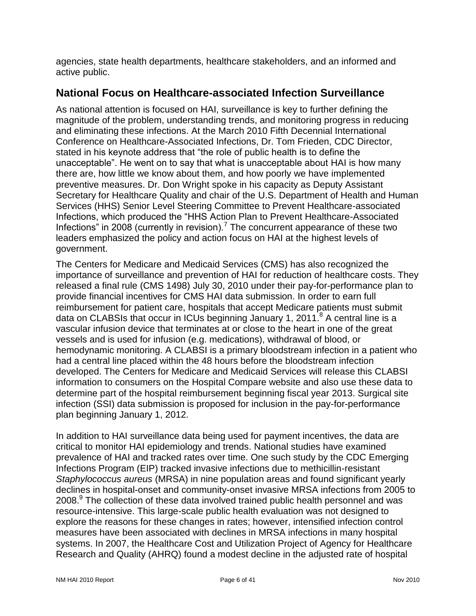agencies, state health departments, healthcare stakeholders, and an informed and active public.

### <span id="page-5-0"></span>**National Focus on Healthcare-associated Infection Surveillance**

As national attention is focused on HAI, surveillance is key to further defining the magnitude of the problem, understanding trends, and monitoring progress in reducing and eliminating these infections. At the March 2010 Fifth Decennial International Conference on Healthcare-Associated Infections, Dr. Tom Frieden, CDC Director, stated in his keynote address that "the role of public health is to define the unacceptable‖. He went on to say that what is unacceptable about HAI is how many there are, how little we know about them, and how poorly we have implemented preventive measures. Dr. Don Wright spoke in his capacity as Deputy Assistant Secretary for Healthcare Quality and chair of the U.S. Department of Health and Human Services (HHS) Senior Level Steering Committee to Prevent Healthcare-associated Infections, which produced the "HHS Action Plan to Prevent Healthcare-Associated Infections" in 2008 (currently in revision).<sup>7</sup> The concurrent appearance of these two leaders emphasized the policy and action focus on HAI at the highest levels of government.

The Centers for Medicare and Medicaid Services (CMS) has also recognized the importance of surveillance and prevention of HAI for reduction of healthcare costs. They released a final rule (CMS 1498) July 30, 2010 under their pay-for-performance plan to provide financial incentives for CMS HAI data submission. In order to earn full reimbursement for patient care, hospitals that accept Medicare patients must submit data on CLABSIs that occur in ICUs beginning January 1, 2011.<sup>8</sup> A central line is a vascular infusion device that terminates at or close to the heart in one of the great vessels and is used for infusion (e.g. medications), withdrawal of blood, or hemodynamic monitoring. A CLABSI is a primary bloodstream infection in a patient who had a central line placed within the 48 hours before the bloodstream infection developed. The Centers for Medicare and Medicaid Services will release this CLABSI information to consumers on the Hospital Compare website and also use these data to determine part of the hospital reimbursement beginning fiscal year 2013. Surgical site infection (SSI) data submission is proposed for inclusion in the pay-for-performance plan beginning January 1, 2012.

In addition to HAI surveillance data being used for payment incentives, the data are critical to monitor HAI epidemiology and trends. National studies have examined prevalence of HAI and tracked rates over time. One such study by the CDC Emerging Infections Program (EIP) tracked invasive infections due to methicillin-resistant *Staphylococcus aureus* (MRSA) in nine population areas and found significant yearly declines in hospital-onset and community-onset invasive MRSA infections from 2005 to 2008.<sup>9</sup> The collection of these data involved trained public health personnel and was resource-intensive. This large-scale public health evaluation was not designed to explore the reasons for these changes in rates; however, intensified infection control measures have been associated with declines in MRSA infections in many hospital systems. In 2007, the Healthcare Cost and Utilization Project of Agency for Healthcare Research and Quality (AHRQ) found a modest decline in the adjusted rate of hospital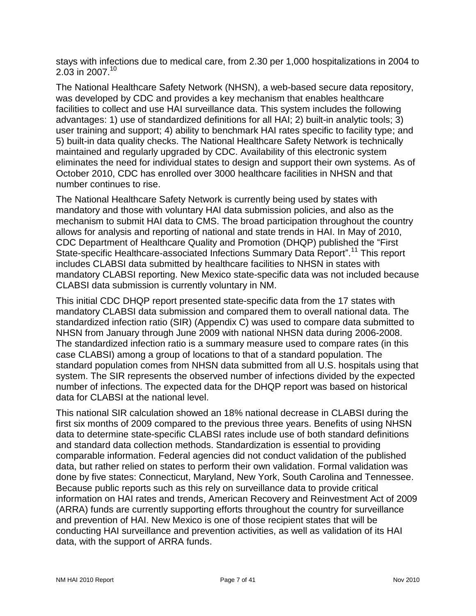stays with infections due to medical care, from 2.30 per 1,000 hospitalizations in 2004 to 2.03 in 2007. 10

The National Healthcare Safety Network (NHSN), a web-based secure data repository, was developed by CDC and provides a key mechanism that enables healthcare facilities to collect and use HAI surveillance data. This system includes the following advantages: 1) use of standardized definitions for all HAI; 2) built-in analytic tools; 3) user training and support; 4) ability to benchmark HAI rates specific to facility type; and 5) built-in data quality checks. The National Healthcare Safety Network is technically maintained and regularly upgraded by CDC. Availability of this electronic system eliminates the need for individual states to design and support their own systems. As of October 2010, CDC has enrolled over 3000 healthcare facilities in NHSN and that number continues to rise.

The National Healthcare Safety Network is currently being used by states with mandatory and those with voluntary HAI data submission policies, and also as the mechanism to submit HAI data to CMS. The broad participation throughout the country allows for analysis and reporting of national and state trends in HAI. In May of 2010, CDC Department of Healthcare Quality and Promotion (DHQP) published the "First State-specific Healthcare-associated Infections Summary Data Report".<sup>11</sup> This report includes CLABSI data submitted by healthcare facilities to NHSN in states with mandatory CLABSI reporting. New Mexico state-specific data was not included because CLABSI data submission is currently voluntary in NM.

This initial CDC DHQP report presented state-specific data from the 17 states with mandatory CLABSI data submission and compared them to overall national data. The standardized infection ratio (SIR) (Appendix C) was used to compare data submitted to NHSN from January through June 2009 with national NHSN data during 2006-2008. The standardized infection ratio is a summary measure used to compare rates (in this case CLABSI) among a group of locations to that of a standard population. The standard population comes from NHSN data submitted from all U.S. hospitals using that system. The SIR represents the observed number of infections divided by the expected number of infections. The expected data for the DHQP report was based on historical data for CLABSI at the national level.

This national SIR calculation showed an 18% national decrease in CLABSI during the first six months of 2009 compared to the previous three years. Benefits of using NHSN data to determine state-specific CLABSI rates include use of both standard definitions and standard data collection methods. Standardization is essential to providing comparable information. Federal agencies did not conduct validation of the published data, but rather relied on states to perform their own validation. Formal validation was done by five states: Connecticut, Maryland, New York, South Carolina and Tennessee. Because public reports such as this rely on surveillance data to provide critical information on HAI rates and trends, American Recovery and Reinvestment Act of 2009 (ARRA) funds are currently supporting efforts throughout the country for surveillance and prevention of HAI. New Mexico is one of those recipient states that will be conducting HAI surveillance and prevention activities, as well as validation of its HAI data, with the support of ARRA funds.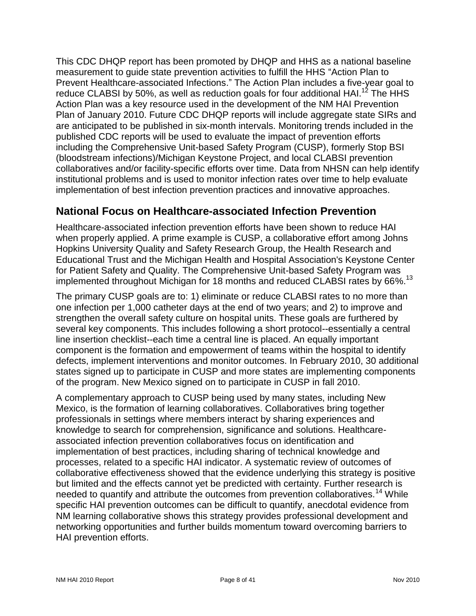This CDC DHQP report has been promoted by DHQP and HHS as a national baseline measurement to guide state prevention activities to fulfill the HHS "Action Plan to Prevent Healthcare-associated Infections." The Action Plan includes a five-year goal to reduce CLABSI by 50%, as well as reduction goals for four additional HAI.<sup>12</sup> The HHS Action Plan was a key resource used in the development of the NM HAI Prevention Plan of January 2010. Future CDC DHQP reports will include aggregate state SIRs and are anticipated to be published in six-month intervals. Monitoring trends included in the published CDC reports will be used to evaluate the impact of prevention efforts including the Comprehensive Unit-based Safety Program (CUSP), formerly Stop BSI (bloodstream infections)/Michigan Keystone Project, and local CLABSI prevention collaboratives and/or facility-specific efforts over time. Data from NHSN can help identify institutional problems and is used to monitor infection rates over time to help evaluate implementation of best infection prevention practices and innovative approaches.

### <span id="page-7-0"></span>**National Focus on Healthcare-associated Infection Prevention**

Healthcare-associated infection prevention efforts have been shown to reduce HAI when properly applied. A prime example is CUSP, a collaborative effort among Johns Hopkins University Quality and Safety Research Group, the Health Research and Educational Trust and the Michigan Health and Hospital Association's Keystone Center for Patient Safety and Quality. The Comprehensive Unit-based Safety Program was implemented throughout Michigan for 18 months and reduced CLABSI rates by 66%.<sup>13</sup>

The primary CUSP goals are to: 1) eliminate or reduce CLABSI rates to no more than one infection per 1,000 catheter days at the end of two years; and 2) to improve and strengthen the overall safety culture on hospital units. These goals are furthered by several key components. This includes following a short protocol--essentially a central line insertion checklist--each time a central line is placed. An equally important component is the formation and empowerment of teams within the hospital to identify defects, implement interventions and monitor outcomes. In February 2010, 30 additional states signed up to participate in CUSP and more states are implementing components of the program. New Mexico signed on to participate in CUSP in fall 2010.

A complementary approach to CUSP being used by many states, including New Mexico, is the formation of learning collaboratives. Collaboratives bring together professionals in settings where members interact by sharing experiences and knowledge to search for comprehension, significance and solutions. Healthcareassociated infection prevention collaboratives focus on identification and implementation of best practices, including sharing of technical knowledge and processes, related to a specific HAI indicator. A systematic review of outcomes of collaborative effectiveness showed that the evidence underlying this strategy is positive but limited and the effects cannot yet be predicted with certainty. Further research is needed to quantify and attribute the outcomes from prevention collaboratives.<sup>14</sup> While specific HAI prevention outcomes can be difficult to quantify, anecdotal evidence from NM learning collaborative shows this strategy provides professional development and networking opportunities and further builds momentum toward overcoming barriers to HAI prevention efforts.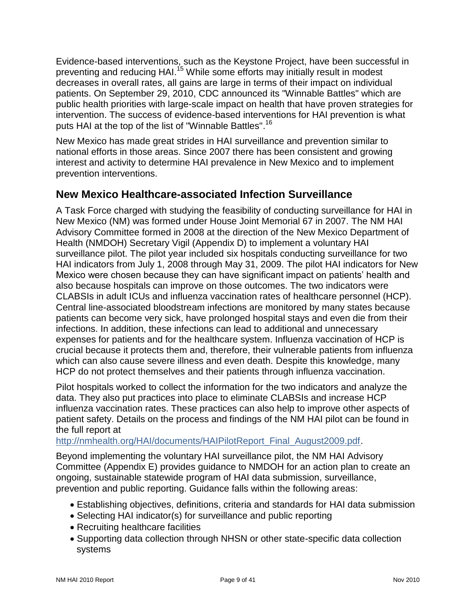Evidence-based interventions, such as the Keystone Project, have been successful in preventing and reducing HAI.<sup>15</sup> While some efforts may initially result in modest decreases in overall rates, all gains are large in terms of their impact on individual patients. On September 29, 2010, CDC announced its "Winnable Battles" which are public health priorities with large-scale impact on health that have proven strategies for intervention. The success of evidence-based interventions for HAI prevention is what puts HAI at the top of the list of "Winnable Battles".<sup>16</sup>

New Mexico has made great strides in HAI surveillance and prevention similar to national efforts in those areas. Since 2007 there has been consistent and growing interest and activity to determine HAI prevalence in New Mexico and to implement prevention interventions.

### <span id="page-8-0"></span>**New Mexico Healthcare-associated Infection Surveillance**

A Task Force charged with studying the feasibility of conducting surveillance for HAI in New Mexico (NM) was formed under House Joint Memorial 67 in 2007. The NM HAI Advisory Committee formed in 2008 at the direction of the New Mexico Department of Health (NMDOH) Secretary Vigil (Appendix D) to implement a voluntary HAI surveillance pilot. The pilot year included six hospitals conducting surveillance for two HAI indicators from July 1, 2008 through May 31, 2009. The pilot HAI indicators for New Mexico were chosen because they can have significant impact on patients' health and also because hospitals can improve on those outcomes. The two indicators were CLABSIs in adult ICUs and influenza vaccination rates of healthcare personnel (HCP). Central line-associated bloodstream infections are monitored by many states because patients can become very sick, have prolonged hospital stays and even die from their infections. In addition, these infections can lead to additional and unnecessary expenses for patients and for the healthcare system. Influenza vaccination of HCP is crucial because it protects them and, therefore, their vulnerable patients from influenza which can also cause severe illness and even death. Despite this knowledge, many HCP do not protect themselves and their patients through influenza vaccination.

Pilot hospitals worked to collect the information for the two indicators and analyze the data. They also put practices into place to eliminate CLABSIs and increase HCP influenza vaccination rates. These practices can also help to improve other aspects of patient safety. Details on the process and findings of the NM HAI pilot can be found in the full report at

[http://nmhealth.org/HAI/documents/HAIPilotReport\\_Final\\_August2009.pdf.](http://nmhealth.org/HAI/documents/HAIPilotReport_Final_August2009.pdf)

Beyond implementing the voluntary HAI surveillance pilot, the NM HAI Advisory Committee (Appendix E) provides guidance to NMDOH for an action plan to create an ongoing, sustainable statewide program of HAI data submission, surveillance, prevention and public reporting. Guidance falls within the following areas:

- Establishing objectives, definitions, criteria and standards for HAI data submission
- Selecting HAI indicator(s) for surveillance and public reporting
- Recruiting healthcare facilities
- Supporting data collection through NHSN or other state-specific data collection systems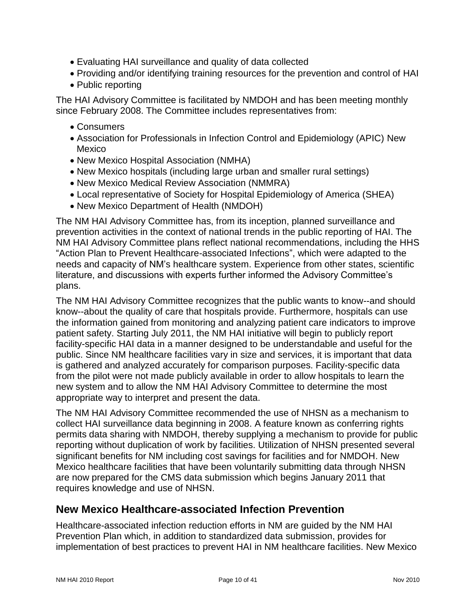- Evaluating HAI surveillance and quality of data collected
- Providing and/or identifying training resources for the prevention and control of HAI
- Public reporting

The HAI Advisory Committee is facilitated by NMDOH and has been meeting monthly since February 2008. The Committee includes representatives from:

- Consumers
- Association for Professionals in Infection Control and Epidemiology (APIC) New Mexico
- New Mexico Hospital Association (NMHA)
- New Mexico hospitals (including large urban and smaller rural settings)
- New Mexico Medical Review Association (NMMRA)
- Local representative of Society for Hospital Epidemiology of America (SHEA)
- New Mexico Department of Health (NMDOH)

The NM HAI Advisory Committee has, from its inception, planned surveillance and prevention activities in the context of national trends in the public reporting of HAI. The NM HAI Advisory Committee plans reflect national recommendations, including the HHS "Action Plan to Prevent Healthcare-associated Infections", which were adapted to the needs and capacity of NM's healthcare system. Experience from other states, scientific literature, and discussions with experts further informed the Advisory Committee's plans.

The NM HAI Advisory Committee recognizes that the public wants to know--and should know--about the quality of care that hospitals provide. Furthermore, hospitals can use the information gained from monitoring and analyzing patient care indicators to improve patient safety. Starting July 2011, the NM HAI initiative will begin to publicly report facility-specific HAI data in a manner designed to be understandable and useful for the public. Since NM healthcare facilities vary in size and services, it is important that data is gathered and analyzed accurately for comparison purposes. Facility-specific data from the pilot were not made publicly available in order to allow hospitals to learn the new system and to allow the NM HAI Advisory Committee to determine the most appropriate way to interpret and present the data.

The NM HAI Advisory Committee recommended the use of NHSN as a mechanism to collect HAI surveillance data beginning in 2008. A feature known as conferring rights permits data sharing with NMDOH, thereby supplying a mechanism to provide for public reporting without duplication of work by facilities. Utilization of NHSN presented several significant benefits for NM including cost savings for facilities and for NMDOH. New Mexico healthcare facilities that have been voluntarily submitting data through NHSN are now prepared for the CMS data submission which begins January 2011 that requires knowledge and use of NHSN.

### <span id="page-9-0"></span>**New Mexico Healthcare-associated Infection Prevention**

Healthcare-associated infection reduction efforts in NM are guided by the NM HAI Prevention Plan which, in addition to standardized data submission, provides for implementation of best practices to prevent HAI in NM healthcare facilities. New Mexico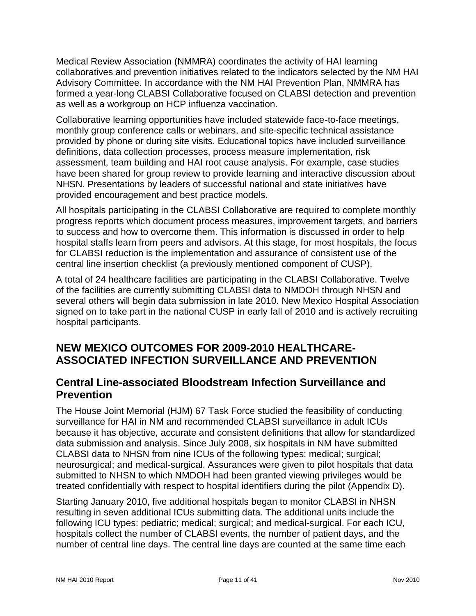Medical Review Association (NMMRA) coordinates the activity of HAI learning collaboratives and prevention initiatives related to the indicators selected by the NM HAI Advisory Committee. In accordance with the NM HAI Prevention Plan, NMMRA has formed a year-long CLABSI Collaborative focused on CLABSI detection and prevention as well as a workgroup on HCP influenza vaccination.

Collaborative learning opportunities have included statewide face-to-face meetings, monthly group conference calls or webinars, and site-specific technical assistance provided by phone or during site visits. Educational topics have included surveillance definitions, data collection processes, process measure implementation, risk assessment, team building and HAI root cause analysis. For example, case studies have been shared for group review to provide learning and interactive discussion about NHSN. Presentations by leaders of successful national and state initiatives have provided encouragement and best practice models.

All hospitals participating in the CLABSI Collaborative are required to complete monthly progress reports which document process measures, improvement targets, and barriers to success and how to overcome them. This information is discussed in order to help hospital staffs learn from peers and advisors. At this stage, for most hospitals, the focus for CLABSI reduction is the implementation and assurance of consistent use of the central line insertion checklist (a previously mentioned component of CUSP).

A total of 24 healthcare facilities are participating in the CLABSI Collaborative. Twelve of the facilities are currently submitting CLABSI data to NMDOH through NHSN and several others will begin data submission in late 2010. New Mexico Hospital Association signed on to take part in the national CUSP in early fall of 2010 and is actively recruiting hospital participants.

### <span id="page-10-0"></span>**NEW MEXICO OUTCOMES FOR 2009-2010 HEALTHCARE-ASSOCIATED INFECTION SURVEILLANCE AND PREVENTION**

### <span id="page-10-1"></span>**Central Line-associated Bloodstream Infection Surveillance and Prevention**

The House Joint Memorial (HJM) 67 Task Force studied the feasibility of conducting surveillance for HAI in NM and recommended CLABSI surveillance in adult ICUs because it has objective, accurate and consistent definitions that allow for standardized data submission and analysis. Since July 2008, six hospitals in NM have submitted CLABSI data to NHSN from nine ICUs of the following types: medical; surgical; neurosurgical; and medical-surgical. Assurances were given to pilot hospitals that data submitted to NHSN to which NMDOH had been granted viewing privileges would be treated confidentially with respect to hospital identifiers during the pilot (Appendix D).

Starting January 2010, five additional hospitals began to monitor CLABSI in NHSN resulting in seven additional ICUs submitting data. The additional units include the following ICU types: pediatric; medical; surgical; and medical-surgical. For each ICU, hospitals collect the number of CLABSI events, the number of patient days, and the number of central line days. The central line days are counted at the same time each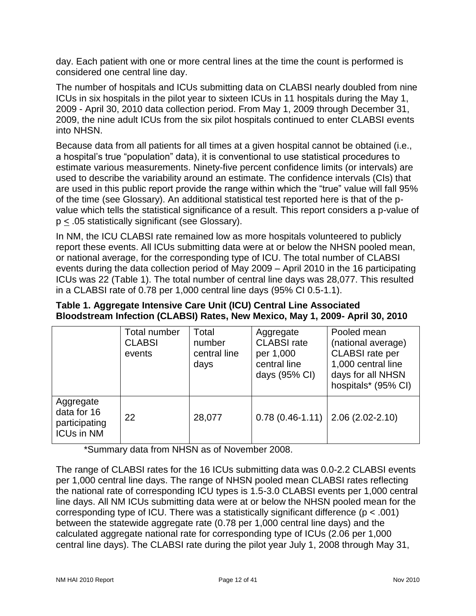day. Each patient with one or more central lines at the time the count is performed is considered one central line day.

The number of hospitals and ICUs submitting data on CLABSI nearly doubled from nine ICUs in six hospitals in the pilot year to sixteen ICUs in 11 hospitals during the May 1, 2009 - April 30, 2010 data collection period. From May 1, 2009 through December 31, 2009, the nine adult ICUs from the six pilot hospitals continued to enter CLABSI events into NHSN.

Because data from all patients for all times at a given hospital cannot be obtained (i.e., a hospital's true "population" data), it is conventional to use statistical procedures to estimate various measurements. Ninety-five percent confidence limits (or intervals) are used to describe the variability around an estimate. The confidence intervals (CIs) that are used in this public report provide the range within which the "true" value will fall 95% of the time (see Glossary). An additional statistical test reported here is that of the pvalue which tells the statistical significance of a result. This report considers a p-value of p < .05 statistically significant (see Glossary).

In NM, the ICU CLABSI rate remained low as more hospitals volunteered to publicly report these events. All ICUs submitting data were at or below the NHSN pooled mean, or national average, for the corresponding type of ICU. The total number of CLABSI events during the data collection period of May 2009 – April 2010 in the 16 participating ICUs was 22 (Table 1). The total number of central line days was 28,077. This resulted in a CLABSI rate of 0.78 per 1,000 central line days (95% CI 0.5-1.1).

| Table 1. Aggregate Intensive Care Unit (ICU) Central Line Associated          |  |  |  |
|-------------------------------------------------------------------------------|--|--|--|
| Bloodstream Infection (CLABSI) Rates, New Mexico, May 1, 2009- April 30, 2010 |  |  |  |

|                                                                | Total number<br><b>CLABSI</b><br>events | Total<br>number<br>central line<br>days | Aggregate<br><b>CLABSI</b> rate<br>per 1,000<br>central line<br>days (95% CI) | Pooled mean<br>(national average)<br><b>CLABSI</b> rate per<br>1,000 central line<br>days for all NHSN<br>hospitals* (95% CI) |
|----------------------------------------------------------------|-----------------------------------------|-----------------------------------------|-------------------------------------------------------------------------------|-------------------------------------------------------------------------------------------------------------------------------|
| Aggregate<br>data for 16<br>participating<br><b>ICUs in NM</b> | 22                                      | 28,077                                  | $0.78(0.46-1.11)$                                                             | $2.06(2.02 - 2.10)$                                                                                                           |

\*Summary data from NHSN as of November 2008.

The range of CLABSI rates for the 16 ICUs submitting data was 0.0-2.2 CLABSI events per 1,000 central line days. The range of NHSN pooled mean CLABSI rates reflecting the national rate of corresponding ICU types is 1.5-3.0 CLABSI events per 1,000 central line days. All NM ICUs submitting data were at or below the NHSN pooled mean for the corresponding type of ICU. There was a statistically significant difference ( $p < .001$ ) between the statewide aggregate rate (0.78 per 1,000 central line days) and the calculated aggregate national rate for corresponding type of ICUs (2.06 per 1,000 central line days). The CLABSI rate during the pilot year July 1, 2008 through May 31,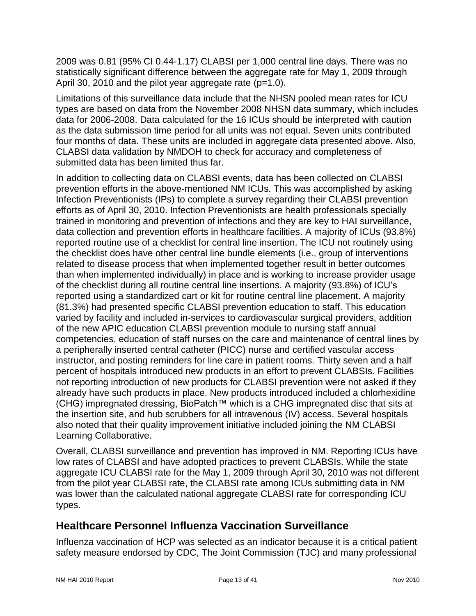2009 was 0.81 (95% CI 0.44-1.17) CLABSI per 1,000 central line days. There was no statistically significant difference between the aggregate rate for May 1, 2009 through April 30, 2010 and the pilot year aggregate rate  $(p=1.0)$ .

Limitations of this surveillance data include that the NHSN pooled mean rates for ICU types are based on data from the November 2008 NHSN data summary, which includes data for 2006-2008. Data calculated for the 16 ICUs should be interpreted with caution as the data submission time period for all units was not equal. Seven units contributed four months of data. These units are included in aggregate data presented above. Also, CLABSI data validation by NMDOH to check for accuracy and completeness of submitted data has been limited thus far.

In addition to collecting data on CLABSI events, data has been collected on CLABSI prevention efforts in the above-mentioned NM ICUs. This was accomplished by asking Infection Preventionists (IPs) to complete a survey regarding their CLABSI prevention efforts as of April 30, 2010. Infection Preventionists are health professionals specially trained in monitoring and prevention of infections and they are key to HAI surveillance, data collection and prevention efforts in healthcare facilities. A majority of ICUs (93.8%) reported routine use of a checklist for central line insertion. The ICU not routinely using the checklist does have other central line bundle elements (i.e., group of interventions related to disease process that when implemented together result in better outcomes than when implemented individually) in place and is working to increase provider usage of the checklist during all routine central line insertions. A majority (93.8%) of ICU's reported using a standardized cart or kit for routine central line placement. A majority (81.3%) had presented specific CLABSI prevention education to staff. This education varied by facility and included in-services to cardiovascular surgical providers, addition of the new APIC education CLABSI prevention module to nursing staff annual competencies, education of staff nurses on the care and maintenance of central lines by a peripherally inserted central catheter (PICC) nurse and certified vascular access instructor, and posting reminders for line care in patient rooms. Thirty seven and a half percent of hospitals introduced new products in an effort to prevent CLABSIs. Facilities not reporting introduction of new products for CLABSI prevention were not asked if they already have such products in place. New products introduced included a chlorhexidine (CHG) impregnated dressing, BioPatch™ which is a CHG impregnated disc that sits at the insertion site, and hub scrubbers for all intravenous (IV) access. Several hospitals also noted that their quality improvement initiative included joining the NM CLABSI Learning Collaborative.

Overall, CLABSI surveillance and prevention has improved in NM. Reporting ICUs have low rates of CLABSI and have adopted practices to prevent CLABSIs. While the state aggregate ICU CLABSI rate for the May 1, 2009 through April 30, 2010 was not different from the pilot year CLABSI rate, the CLABSI rate among ICUs submitting data in NM was lower than the calculated national aggregate CLABSI rate for corresponding ICU types.

### <span id="page-12-0"></span>**Healthcare Personnel Influenza Vaccination Surveillance**

Influenza vaccination of HCP was selected as an indicator because it is a critical patient safety measure endorsed by CDC, The Joint Commission (TJC) and many professional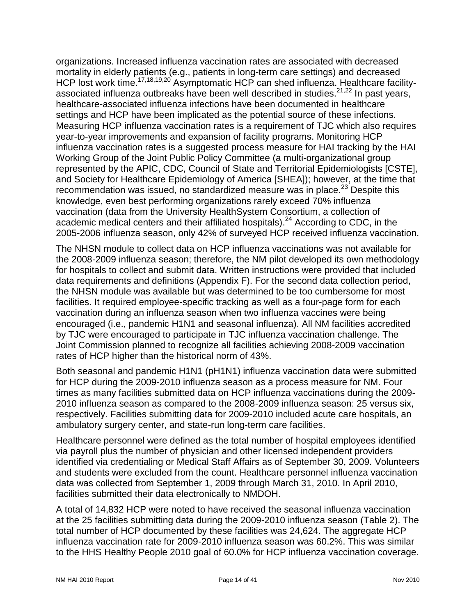organizations. Increased influenza vaccination rates are associated with decreased mortality in elderly patients (e.g., patients in long-term care settings) and decreased HCP lost work time.<sup>17,18,19,20</sup> Asymptomatic HCP can shed influenza. Healthcare facilityassociated influenza outbreaks have been well described in studies.<sup>21,22</sup> In past years, healthcare-associated influenza infections have been documented in healthcare settings and HCP have been implicated as the potential source of these infections. Measuring HCP influenza vaccination rates is a requirement of TJC which also requires year-to-year improvements and expansion of facility programs. Monitoring HCP influenza vaccination rates is a suggested process measure for HAI tracking by the HAI Working Group of the Joint Public Policy Committee (a multi-organizational group represented by the APIC, CDC, Council of State and Territorial Epidemiologists [CSTE], and Society for Healthcare Epidemiology of America [SHEA]); however, at the time that recommendation was issued, no standardized measure was in place.<sup>23</sup> Despite this knowledge, even best performing organizations rarely exceed 70% influenza vaccination (data from the University HealthSystem Consortium, a collection of academic medical centers and their affiliated hospitals).<sup>24</sup> According to CDC, in the 2005-2006 influenza season, only 42% of surveyed HCP received influenza vaccination.

The NHSN module to collect data on HCP influenza vaccinations was not available for the 2008-2009 influenza season; therefore, the NM pilot developed its own methodology for hospitals to collect and submit data. Written instructions were provided that included data requirements and definitions (Appendix F). For the second data collection period, the NHSN module was available but was determined to be too cumbersome for most facilities. It required employee-specific tracking as well as a four-page form for each vaccination during an influenza season when two influenza vaccines were being encouraged (i.e., pandemic H1N1 and seasonal influenza). All NM facilities accredited by TJC were encouraged to participate in TJC influenza vaccination challenge. The Joint Commission planned to recognize all facilities achieving 2008-2009 vaccination rates of HCP higher than the historical norm of 43%.

Both seasonal and pandemic H1N1 (pH1N1) influenza vaccination data were submitted for HCP during the 2009-2010 influenza season as a process measure for NM. Four times as many facilities submitted data on HCP influenza vaccinations during the 2009- 2010 influenza season as compared to the 2008-2009 influenza season: 25 versus six, respectively. Facilities submitting data for 2009-2010 included acute care hospitals, an ambulatory surgery center, and state-run long-term care facilities.

Healthcare personnel were defined as the total number of hospital employees identified via payroll plus the number of physician and other licensed independent providers identified via credentialing or Medical Staff Affairs as of September 30, 2009. Volunteers and students were excluded from the count. Healthcare personnel influenza vaccination data was collected from September 1, 2009 through March 31, 2010. In April 2010, facilities submitted their data electronically to NMDOH.

A total of 14,832 HCP were noted to have received the seasonal influenza vaccination at the 25 facilities submitting data during the 2009-2010 influenza season (Table 2). The total number of HCP documented by these facilities was 24,624. The aggregate HCP influenza vaccination rate for 2009-2010 influenza season was 60.2%. This was similar to the HHS Healthy People 2010 goal of 60.0% for HCP influenza vaccination coverage.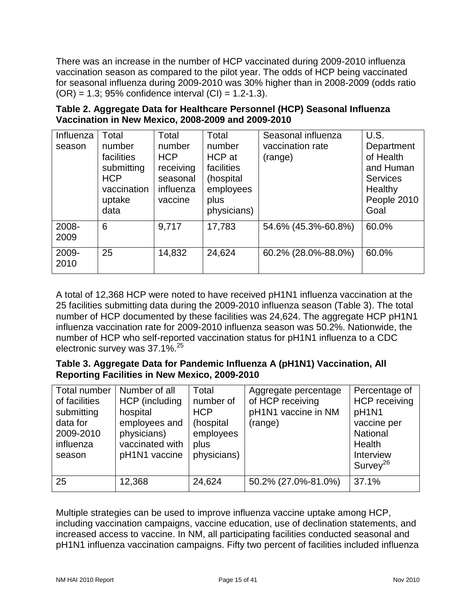There was an increase in the number of HCP vaccinated during 2009-2010 influenza vaccination season as compared to the pilot year. The odds of HCP being vaccinated for seasonal influenza during 2009-2010 was 30% higher than in 2008-2009 (odds ratio  $(OR) = 1.3$ ; 95% confidence interval  $(Cl) = 1.2-1.3$ ).

| Influenza<br>season | Total<br>number<br>facilities<br>submitting<br><b>HCP</b><br>vaccination<br>uptake<br>data | Total<br>number<br><b>HCP</b><br>receiving<br>seasonal<br>influenza<br>vaccine | Total<br>number<br>HCP at<br>facilities<br>(hospital<br>employees<br>plus<br>physicians) | Seasonal influenza<br>vaccination rate<br>(range) | U.S.<br>Department<br>of Health<br>and Human<br><b>Services</b><br>Healthy<br>People 2010<br>Goal |
|---------------------|--------------------------------------------------------------------------------------------|--------------------------------------------------------------------------------|------------------------------------------------------------------------------------------|---------------------------------------------------|---------------------------------------------------------------------------------------------------|
| 2008-<br>2009       | 6                                                                                          | 9,717                                                                          | 17,783                                                                                   | 54.6% (45.3%-60.8%)                               | 60.0%                                                                                             |
| 2009-<br>2010       | 25                                                                                         | 14,832                                                                         | 24,624                                                                                   | 60.2% (28.0%-88.0%)                               | 60.0%                                                                                             |

**Table 2. Aggregate Data for Healthcare Personnel (HCP) Seasonal Influenza Vaccination in New Mexico, 2008-2009 and 2009-2010**

A total of 12,368 HCP were noted to have received pH1N1 influenza vaccination at the 25 facilities submitting data during the 2009-2010 influenza season (Table 3). The total number of HCP documented by these facilities was 24,624. The aggregate HCP pH1N1 influenza vaccination rate for 2009-2010 influenza season was 50.2%. Nationwide, the number of HCP who self-reported vaccination status for pH1N1 influenza to a CDC electronic survey was 37.1%.<sup>25</sup>

#### **Table 3. Aggregate Data for Pandemic Influenza A (pH1N1) Vaccination, All Reporting Facilities in New Mexico, 2009-2010**

| <b>Total number</b><br>of facilities<br>submitting<br>data for<br>2009-2010<br>influenza<br>season | Number of all<br>HCP (including<br>hospital<br>employees and<br>physicians)<br>vaccinated with<br>pH1N1 vaccine | Total<br>number of<br><b>HCP</b><br>(hospital<br>employees<br>plus<br>physicians) | Aggregate percentage<br>of HCP receiving<br>pH1N1 vaccine in NM<br>(range) | Percentage of<br><b>HCP</b> receiving<br>pH1N1<br>vaccine per<br>National<br>Health<br>Interview<br>Survey <sup>26</sup> |
|----------------------------------------------------------------------------------------------------|-----------------------------------------------------------------------------------------------------------------|-----------------------------------------------------------------------------------|----------------------------------------------------------------------------|--------------------------------------------------------------------------------------------------------------------------|
| 25                                                                                                 | 12,368                                                                                                          | 24,624                                                                            | 50.2% (27.0%-81.0%)                                                        | 37.1%                                                                                                                    |

Multiple strategies can be used to improve influenza vaccine uptake among HCP, including vaccination campaigns, vaccine education, use of declination statements, and increased access to vaccine. In NM, all participating facilities conducted seasonal and pH1N1 influenza vaccination campaigns. Fifty two percent of facilities included influenza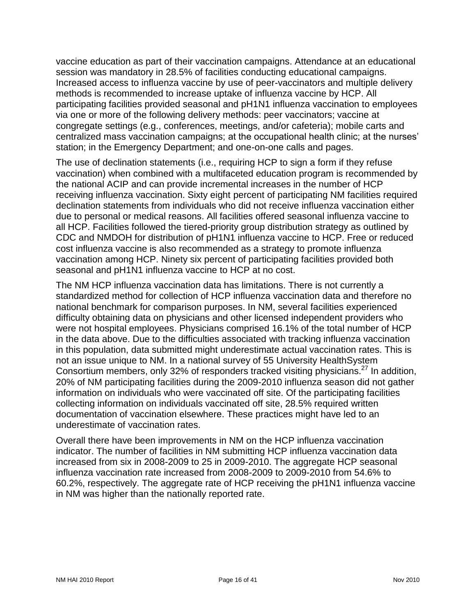vaccine education as part of their vaccination campaigns. Attendance at an educational session was mandatory in 28.5% of facilities conducting educational campaigns. Increased access to influenza vaccine by use of peer-vaccinators and multiple delivery methods is recommended to increase uptake of influenza vaccine by HCP. All participating facilities provided seasonal and pH1N1 influenza vaccination to employees via one or more of the following delivery methods: peer vaccinators; vaccine at congregate settings (e.g., conferences, meetings, and/or cafeteria); mobile carts and centralized mass vaccination campaigns; at the occupational health clinic; at the nurses' station; in the Emergency Department; and one-on-one calls and pages.

The use of declination statements (i.e., requiring HCP to sign a form if they refuse vaccination) when combined with a multifaceted education program is recommended by the national ACIP and can provide incremental increases in the number of HCP receiving influenza vaccination. Sixty eight percent of participating NM facilities required declination statements from individuals who did not receive influenza vaccination either due to personal or medical reasons. All facilities offered seasonal influenza vaccine to all HCP. Facilities followed the tiered-priority group distribution strategy as outlined by CDC and NMDOH for distribution of pH1N1 influenza vaccine to HCP. Free or reduced cost influenza vaccine is also recommended as a strategy to promote influenza vaccination among HCP. Ninety six percent of participating facilities provided both seasonal and pH1N1 influenza vaccine to HCP at no cost.

The NM HCP influenza vaccination data has limitations. There is not currently a standardized method for collection of HCP influenza vaccination data and therefore no national benchmark for comparison purposes. In NM, several facilities experienced difficulty obtaining data on physicians and other licensed independent providers who were not hospital employees. Physicians comprised 16.1% of the total number of HCP in the data above. Due to the difficulties associated with tracking influenza vaccination in this population, data submitted might underestimate actual vaccination rates. This is not an issue unique to NM. In a national survey of 55 University HealthSystem Consortium members, only 32% of responders tracked visiting physicians.<sup>27</sup> In addition, 20% of NM participating facilities during the 2009-2010 influenza season did not gather information on individuals who were vaccinated off site. Of the participating facilities collecting information on individuals vaccinated off site, 28.5% required written documentation of vaccination elsewhere. These practices might have led to an underestimate of vaccination rates.

Overall there have been improvements in NM on the HCP influenza vaccination indicator. The number of facilities in NM submitting HCP influenza vaccination data increased from six in 2008-2009 to 25 in 2009-2010. The aggregate HCP seasonal influenza vaccination rate increased from 2008-2009 to 2009-2010 from 54.6% to 60.2%, respectively. The aggregate rate of HCP receiving the pH1N1 influenza vaccine in NM was higher than the nationally reported rate.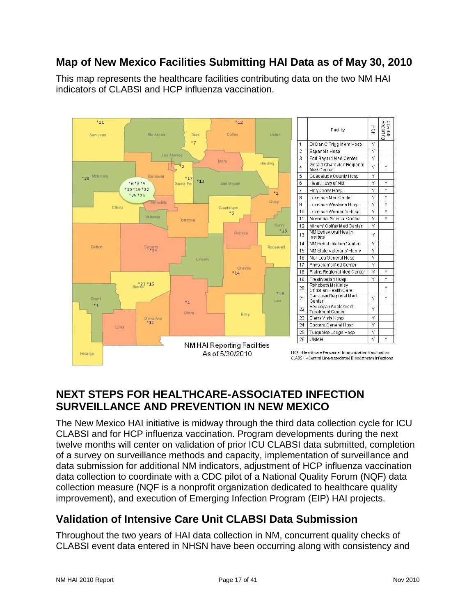### <span id="page-16-0"></span>**Map of New Mexico Facilities Submitting HAI Data as of May 30, 2010**

This map represents the healthcare facilities contributing data on the two NM HAI indicators of CLABSI and HCP influenza vaccination.



|                 | Facility                                       | 포 <sub>G</sub> | Reportin<br><b>SBALC</b> |
|-----------------|------------------------------------------------|----------------|--------------------------|
| ť               | Dr Dan C Trigg Mem Hosp                        | γ              |                          |
| 2               | Espanola Hosp                                  | Ÿ              |                          |
| $\overline{3}$  | Fort Bavard Med Center                         | Y              |                          |
| 4               | Gerald Champion Regional<br>Med Center         | Y              | Υ                        |
| 5               | Guadalupe County Hosp                          | Υ              |                          |
| 5               | Heart Hosp of NM                               | Ÿ              | Ÿ                        |
| 7               | Holy Cross Hosp                                | Υ              | Ÿ                        |
| 3               | Lovelace Med Center                            | Υ              | Ÿ                        |
| 3               | Lovelace Westside Hosp                         | Ÿ              | Ÿ                        |
| $\overline{0}$  | Lovelace Women's Hosp                          | Υ              | Ÿ                        |
| $\overline{11}$ | Memorial Medical Center                        | Ý              | Ý                        |
| 12              | Miners' Colfax Med Center                      | Υ              |                          |
| 13              | NM Behavioral Health<br>Institute              | Y              |                          |
| 14              | NM Rehabilitation Center                       | Υ              |                          |
| 15              | NM State Veterans' Home                        | Υ              |                          |
| 16              | Nor-Lea General Hosp                           | Ϋ              |                          |
| 17              | Physician's Med Center                         | Υ              |                          |
| 18              | Plains Regional Med Center                     | Υ              | Υ                        |
| 19              | Presbyterian Hosp                              | Υ              | Ý                        |
| 20              | Rehoboth McKinley<br>Christian Health Care     |                | Υ                        |
| 21              | San Juan Regional Med<br>Center                | Υ              | Ÿ                        |
| 22              | Sequoyah Adolescent<br><b>Treatment Center</b> | Y              |                          |
| 23              | Sierra Vista Hosp                              | Υ              |                          |
| $^{24}$         | Socorro General Hosp                           | Ÿ              |                          |
| 25              | Turquoise Lodge Hosp                           | Υ              |                          |
| 26              | <b>UNMH</b>                                    | Ý              | Ÿ                        |
|                 |                                                |                |                          |

### <span id="page-16-1"></span>**NEXT STEPS FOR HEALTHCARE-ASSOCIATED INFECTION SURVEILLANCE AND PREVENTION IN NEW MEXICO**

The New Mexico HAI initiative is midway through the third data collection cycle for ICU CLABSI and for HCP influenza vaccination. Program developments during the next twelve months will center on validation of prior ICU CLABSI data submitted, completion of a survey on surveillance methods and capacity, implementation of surveillance and data submission for additional NM indicators, adjustment of HCP influenza vaccination data collection to coordinate with a CDC pilot of a National Quality Forum (NQF) data collection measure (NQF is a nonprofit organization dedicated to healthcare quality improvement), and execution of Emerging Infection Program (EIP) HAI projects.

### <span id="page-16-2"></span>**Validation of Intensive Care Unit CLABSI Data Submission**

Throughout the two years of HAI data collection in NM, concurrent quality checks of CLABSI event data entered in NHSN have been occurring along with consistency and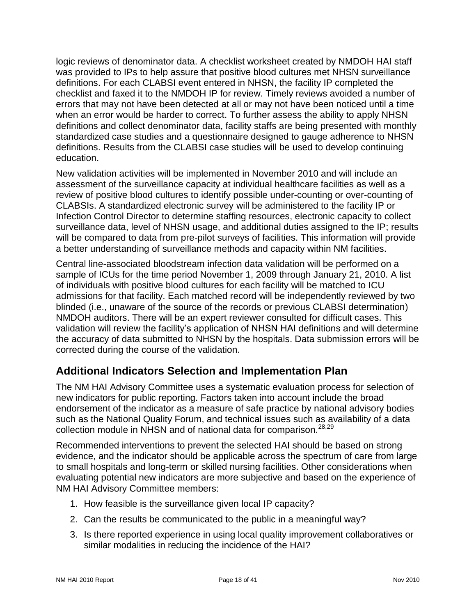logic reviews of denominator data. A checklist worksheet created by NMDOH HAI staff was provided to IPs to help assure that positive blood cultures met NHSN surveillance definitions. For each CLABSI event entered in NHSN, the facility IP completed the checklist and faxed it to the NMDOH IP for review. Timely reviews avoided a number of errors that may not have been detected at all or may not have been noticed until a time when an error would be harder to correct. To further assess the ability to apply NHSN definitions and collect denominator data, facility staffs are being presented with monthly standardized case studies and a questionnaire designed to gauge adherence to NHSN definitions. Results from the CLABSI case studies will be used to develop continuing education.

New validation activities will be implemented in November 2010 and will include an assessment of the surveillance capacity at individual healthcare facilities as well as a review of positive blood cultures to identify possible under-counting or over-counting of CLABSIs. A standardized electronic survey will be administered to the facility IP or Infection Control Director to determine staffing resources, electronic capacity to collect surveillance data, level of NHSN usage, and additional duties assigned to the IP; results will be compared to data from pre-pilot surveys of facilities. This information will provide a better understanding of surveillance methods and capacity within NM facilities.

Central line-associated bloodstream infection data validation will be performed on a sample of ICUs for the time period November 1, 2009 through January 21, 2010. A list of individuals with positive blood cultures for each facility will be matched to ICU admissions for that facility. Each matched record will be independently reviewed by two blinded (i.e., unaware of the source of the records or previous CLABSI determination) NMDOH auditors. There will be an expert reviewer consulted for difficult cases. This validation will review the facility's application of NHSN HAI definitions and will determine the accuracy of data submitted to NHSN by the hospitals. Data submission errors will be corrected during the course of the validation.

### <span id="page-17-0"></span>**Additional Indicators Selection and Implementation Plan**

The NM HAI Advisory Committee uses a systematic evaluation process for selection of new indicators for public reporting. Factors taken into account include the broad endorsement of the indicator as a measure of safe practice by national advisory bodies such as the National Quality Forum, and technical issues such as availability of a data collection module in NHSN and of national data for comparison.<sup>28,29</sup>

Recommended interventions to prevent the selected HAI should be based on strong evidence, and the indicator should be applicable across the spectrum of care from large to small hospitals and long-term or skilled nursing facilities. Other considerations when evaluating potential new indicators are more subjective and based on the experience of NM HAI Advisory Committee members:

- 1. How feasible is the surveillance given local IP capacity?
- 2. Can the results be communicated to the public in a meaningful way?
- 3. Is there reported experience in using local quality improvement collaboratives or similar modalities in reducing the incidence of the HAI?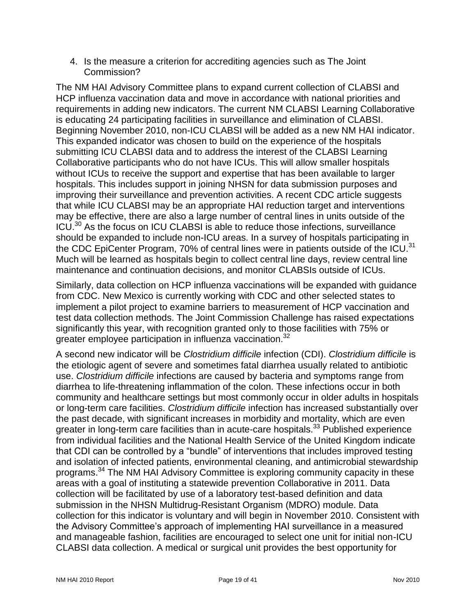4. Is the measure a criterion for accrediting agencies such as The Joint Commission?

The NM HAI Advisory Committee plans to expand current collection of CLABSI and HCP influenza vaccination data and move in accordance with national priorities and requirements in adding new indicators. The current NM CLABSI Learning Collaborative is educating 24 participating facilities in surveillance and elimination of CLABSI. Beginning November 2010, non-ICU CLABSI will be added as a new NM HAI indicator. This expanded indicator was chosen to build on the experience of the hospitals submitting ICU CLABSI data and to address the interest of the CLABSI Learning Collaborative participants who do not have ICUs. This will allow smaller hospitals without ICUs to receive the support and expertise that has been available to larger hospitals. This includes support in joining NHSN for data submission purposes and improving their surveillance and prevention activities. A recent CDC article suggests that while ICU CLABSI may be an appropriate HAI reduction target and interventions may be effective, there are also a large number of central lines in units outside of the ICU.<sup>30</sup> As the focus on ICU CLABSI is able to reduce those infections, surveillance should be expanded to include non-ICU areas. In a survey of hospitals participating in the CDC EpiCenter Program, 70% of central lines were in patients outside of the ICU.<sup>31</sup> Much will be learned as hospitals begin to collect central line days, review central line maintenance and continuation decisions, and monitor CLABSIs outside of ICUs.

Similarly, data collection on HCP influenza vaccinations will be expanded with guidance from CDC. New Mexico is currently working with CDC and other selected states to implement a pilot project to examine barriers to measurement of HCP vaccination and test data collection methods. The Joint Commission Challenge has raised expectations significantly this year, with recognition granted only to those facilities with 75% or greater employee participation in influenza vaccination.<sup>32</sup>

A second new indicator will be *Clostridium difficile* infection (CDI). *Clostridium difficile* is the etiologic agent of severe and sometimes fatal diarrhea usually related to antibiotic use. *Clostridium difficile* infections are caused by bacteria and symptoms range from diarrhea to life-threatening inflammation of the colon. These infections occur in both community and healthcare settings but most commonly occur in older adults in hospitals or long-term care facilities. *Clostridium difficile* infection has increased substantially over the past decade, with significant increases in morbidity and mortality, which are even greater in long-term care facilities than in acute-care hospitals.<sup>33</sup> Published experience from individual facilities and the National Health Service of the United Kingdom indicate that CDI can be controlled by a "bundle" of interventions that includes improved testing and isolation of infected patients, environmental cleaning, and antimicrobial stewardship programs.<sup>34</sup> The NM HAI Advisory Committee is exploring community capacity in these areas with a goal of instituting a statewide prevention Collaborative in 2011. Data collection will be facilitated by use of a laboratory test-based definition and data submission in the NHSN Multidrug-Resistant Organism (MDRO) module. Data collection for this indicator is voluntary and will begin in November 2010. Consistent with the Advisory Committee's approach of implementing HAI surveillance in a measured and manageable fashion, facilities are encouraged to select one unit for initial non-ICU CLABSI data collection. A medical or surgical unit provides the best opportunity for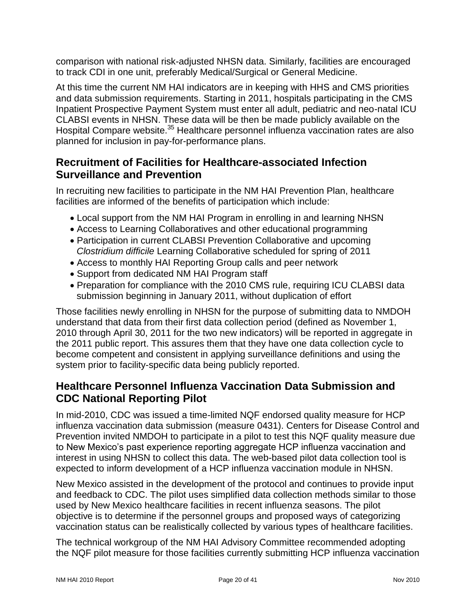comparison with national risk-adjusted NHSN data. Similarly, facilities are encouraged to track CDI in one unit, preferably Medical/Surgical or General Medicine.

At this time the current NM HAI indicators are in keeping with HHS and CMS priorities and data submission requirements. Starting in 2011, hospitals participating in the CMS Inpatient Prospective Payment System must enter all adult, pediatric and neo-natal ICU CLABSI events in NHSN. These data will be then be made publicly available on the Hospital Compare website.<sup>35</sup> Healthcare personnel influenza vaccination rates are also planned for inclusion in pay-for-performance plans.

### <span id="page-19-0"></span>**Recruitment of Facilities for Healthcare-associated Infection Surveillance and Prevention**

In recruiting new facilities to participate in the NM HAI Prevention Plan, healthcare facilities are informed of the benefits of participation which include:

- Local support from the NM HAI Program in enrolling in and learning NHSN
- Access to Learning Collaboratives and other educational programming
- Participation in current CLABSI Prevention Collaborative and upcoming *Clostridium difficile* Learning Collaborative scheduled for spring of 2011
- Access to monthly HAI Reporting Group calls and peer network
- Support from dedicated NM HAI Program staff
- Preparation for compliance with the 2010 CMS rule, requiring ICU CLABSI data submission beginning in January 2011, without duplication of effort

Those facilities newly enrolling in NHSN for the purpose of submitting data to NMDOH understand that data from their first data collection period (defined as November 1, 2010 through April 30, 2011 for the two new indicators) will be reported in aggregate in the 2011 public report. This assures them that they have one data collection cycle to become competent and consistent in applying surveillance definitions and using the system prior to facility-specific data being publicly reported.

### <span id="page-19-1"></span>**Healthcare Personnel Influenza Vaccination Data Submission and CDC National Reporting Pilot**

In mid-2010, CDC was issued a time-limited NQF endorsed quality measure for HCP influenza vaccination data submission (measure 0431). Centers for Disease Control and Prevention invited NMDOH to participate in a pilot to test this NQF quality measure due to New Mexico's past experience reporting aggregate HCP influenza vaccination and interest in using NHSN to collect this data. The web-based pilot data collection tool is expected to inform development of a HCP influenza vaccination module in NHSN.

New Mexico assisted in the development of the protocol and continues to provide input and feedback to CDC. The pilot uses simplified data collection methods similar to those used by New Mexico healthcare facilities in recent influenza seasons. The pilot objective is to determine if the personnel groups and proposed ways of categorizing vaccination status can be realistically collected by various types of healthcare facilities.

The technical workgroup of the NM HAI Advisory Committee recommended adopting the NQF pilot measure for those facilities currently submitting HCP influenza vaccination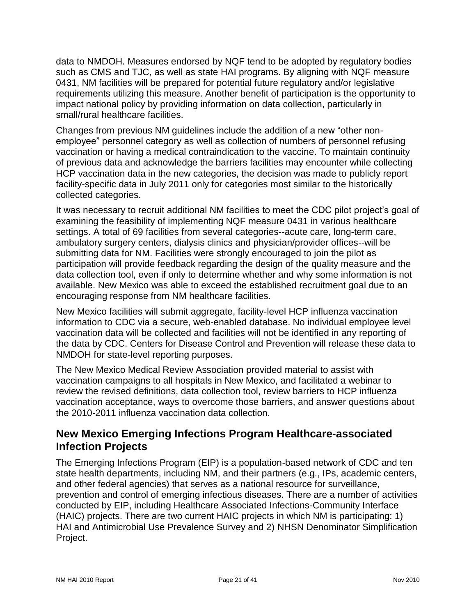data to NMDOH. Measures endorsed by NQF tend to be adopted by regulatory bodies such as CMS and TJC, as well as state HAI programs. By aligning with NQF measure 0431, NM facilities will be prepared for potential future regulatory and/or legislative requirements utilizing this measure. Another benefit of participation is the opportunity to impact national policy by providing information on data collection, particularly in small/rural healthcare facilities.

Changes from previous NM quidelines include the addition of a new "other nonemployee" personnel category as well as collection of numbers of personnel refusing vaccination or having a medical contraindication to the vaccine. To maintain continuity of previous data and acknowledge the barriers facilities may encounter while collecting HCP vaccination data in the new categories, the decision was made to publicly report facility-specific data in July 2011 only for categories most similar to the historically collected categories.

It was necessary to recruit additional NM facilities to meet the CDC pilot project's goal of examining the feasibility of implementing NQF measure 0431 in various healthcare settings. A total of 69 facilities from several categories--acute care, long-term care, ambulatory surgery centers, dialysis clinics and physician/provider offices--will be submitting data for NM. Facilities were strongly encouraged to join the pilot as participation will provide feedback regarding the design of the quality measure and the data collection tool, even if only to determine whether and why some information is not available. New Mexico was able to exceed the established recruitment goal due to an encouraging response from NM healthcare facilities.

New Mexico facilities will submit aggregate, facility-level HCP influenza vaccination information to CDC via a secure, web-enabled database. No individual employee level vaccination data will be collected and facilities will not be identified in any reporting of the data by CDC. Centers for Disease Control and Prevention will release these data to NMDOH for state-level reporting purposes.

The New Mexico Medical Review Association provided material to assist with vaccination campaigns to all hospitals in New Mexico, and facilitated a webinar to review the revised definitions, data collection tool, review barriers to HCP influenza vaccination acceptance, ways to overcome those barriers, and answer questions about the 2010-2011 influenza vaccination data collection.

### <span id="page-20-0"></span>**New Mexico Emerging Infections Program Healthcare-associated Infection Projects**

The Emerging Infections Program (EIP) is a population-based network of CDC and ten state health departments, including NM, and their partners (e.g., IPs, academic centers, and other federal agencies) that serves as a national resource for surveillance, prevention and control of emerging infectious diseases. There are a number of activities conducted by EIP, including Healthcare Associated Infections-Community Interface (HAIC) projects. There are two current HAIC projects in which NM is participating: 1) HAI and Antimicrobial Use Prevalence Survey and 2) NHSN Denominator Simplification Project.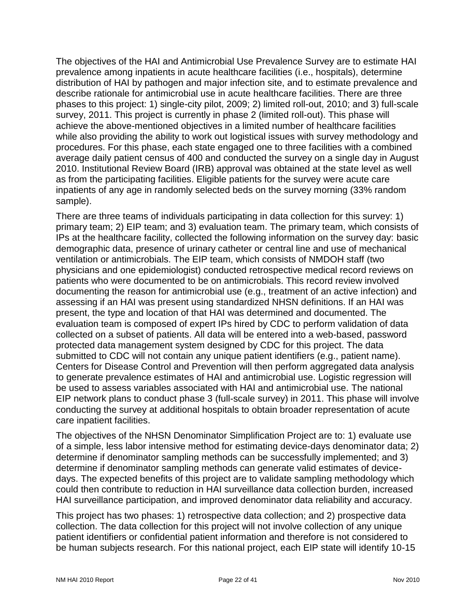The objectives of the HAI and Antimicrobial Use Prevalence Survey are to estimate HAI prevalence among inpatients in acute healthcare facilities (i.e., hospitals), determine distribution of HAI by pathogen and major infection site, and to estimate prevalence and describe rationale for antimicrobial use in acute healthcare facilities. There are three phases to this project: 1) single-city pilot, 2009; 2) limited roll-out, 2010; and 3) full-scale survey, 2011. This project is currently in phase 2 (limited roll-out). This phase will achieve the above-mentioned objectives in a limited number of healthcare facilities while also providing the ability to work out logistical issues with survey methodology and procedures. For this phase, each state engaged one to three facilities with a combined average daily patient census of 400 and conducted the survey on a single day in August 2010. Institutional Review Board (IRB) approval was obtained at the state level as well as from the participating facilities. Eligible patients for the survey were acute care inpatients of any age in randomly selected beds on the survey morning (33% random sample).

There are three teams of individuals participating in data collection for this survey: 1) primary team; 2) EIP team; and 3) evaluation team. The primary team, which consists of IPs at the healthcare facility, collected the following information on the survey day: basic demographic data, presence of urinary catheter or central line and use of mechanical ventilation or antimicrobials. The EIP team, which consists of NMDOH staff (two physicians and one epidemiologist) conducted retrospective medical record reviews on patients who were documented to be on antimicrobials. This record review involved documenting the reason for antimicrobial use (e.g., treatment of an active infection) and assessing if an HAI was present using standardized NHSN definitions. If an HAI was present, the type and location of that HAI was determined and documented. The evaluation team is composed of expert IPs hired by CDC to perform validation of data collected on a subset of patients. All data will be entered into a web-based, password protected data management system designed by CDC for this project. The data submitted to CDC will not contain any unique patient identifiers (e.g., patient name). Centers for Disease Control and Prevention will then perform aggregated data analysis to generate prevalence estimates of HAI and antimicrobial use. Logistic regression will be used to assess variables associated with HAI and antimicrobial use. The national EIP network plans to conduct phase 3 (full-scale survey) in 2011. This phase will involve conducting the survey at additional hospitals to obtain broader representation of acute care inpatient facilities.

The objectives of the NHSN Denominator Simplification Project are to: 1) evaluate use of a simple, less labor intensive method for estimating device-days denominator data; 2) determine if denominator sampling methods can be successfully implemented; and 3) determine if denominator sampling methods can generate valid estimates of devicedays. The expected benefits of this project are to validate sampling methodology which could then contribute to reduction in HAI surveillance data collection burden, increased HAI surveillance participation, and improved denominator data reliability and accuracy.

This project has two phases: 1) retrospective data collection; and 2) prospective data collection. The data collection for this project will not involve collection of any unique patient identifiers or confidential patient information and therefore is not considered to be human subjects research. For this national project, each EIP state will identify 10-15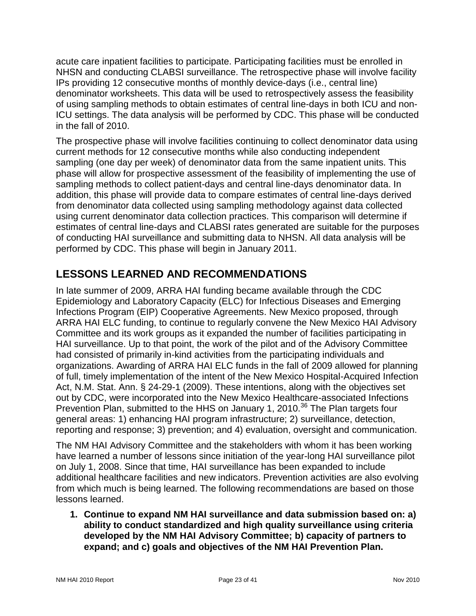acute care inpatient facilities to participate. Participating facilities must be enrolled in NHSN and conducting CLABSI surveillance. The retrospective phase will involve facility IPs providing 12 consecutive months of monthly device-days (i.e., central line) denominator worksheets. This data will be used to retrospectively assess the feasibility of using sampling methods to obtain estimates of central line-days in both ICU and non-ICU settings. The data analysis will be performed by CDC. This phase will be conducted in the fall of 2010.

The prospective phase will involve facilities continuing to collect denominator data using current methods for 12 consecutive months while also conducting independent sampling (one day per week) of denominator data from the same inpatient units. This phase will allow for prospective assessment of the feasibility of implementing the use of sampling methods to collect patient-days and central line-days denominator data. In addition, this phase will provide data to compare estimates of central line-days derived from denominator data collected using sampling methodology against data collected using current denominator data collection practices. This comparison will determine if estimates of central line-days and CLABSI rates generated are suitable for the purposes of conducting HAI surveillance and submitting data to NHSN. All data analysis will be performed by CDC. This phase will begin in January 2011.

### <span id="page-22-0"></span>**LESSONS LEARNED AND RECOMMENDATIONS**

In late summer of 2009, ARRA HAI funding became available through the CDC Epidemiology and Laboratory Capacity (ELC) for Infectious Diseases and Emerging Infections Program (EIP) Cooperative Agreements. New Mexico proposed, through ARRA HAI ELC funding, to continue to regularly convene the New Mexico HAI Advisory Committee and its work groups as it expanded the number of facilities participating in HAI surveillance. Up to that point, the work of the pilot and of the Advisory Committee had consisted of primarily in-kind activities from the participating individuals and organizations. Awarding of ARRA HAI ELC funds in the fall of 2009 allowed for planning of full, timely implementation of the intent of the New Mexico Hospital-Acquired Infection Act, N.M. Stat. Ann. § 24-29-1 (2009). These intentions, along with the objectives set out by CDC, were incorporated into the New Mexico Healthcare-associated Infections Prevention Plan, submitted to the HHS on January 1, 2010.<sup>36</sup> The Plan targets four general areas: 1) enhancing HAI program infrastructure; 2) surveillance, detection, reporting and response; 3) prevention; and 4) evaluation, oversight and communication.

The NM HAI Advisory Committee and the stakeholders with whom it has been working have learned a number of lessons since initiation of the year-long HAI surveillance pilot on July 1, 2008. Since that time, HAI surveillance has been expanded to include additional healthcare facilities and new indicators. Prevention activities are also evolving from which much is being learned. The following recommendations are based on those lessons learned.

**1. Continue to expand NM HAI surveillance and data submission based on: a) ability to conduct standardized and high quality surveillance using criteria developed by the NM HAI Advisory Committee; b) capacity of partners to expand; and c) goals and objectives of the NM HAI Prevention Plan.**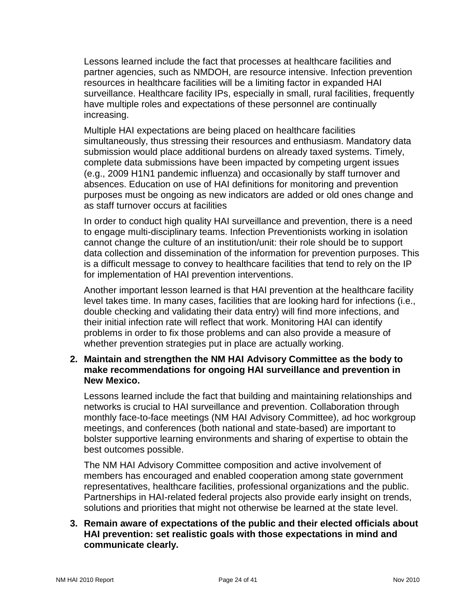Lessons learned include the fact that processes at healthcare facilities and partner agencies, such as NMDOH, are resource intensive. Infection prevention resources in healthcare facilities will be a limiting factor in expanded HAI surveillance. Healthcare facility IPs, especially in small, rural facilities, frequently have multiple roles and expectations of these personnel are continually increasing.

Multiple HAI expectations are being placed on healthcare facilities simultaneously, thus stressing their resources and enthusiasm. Mandatory data submission would place additional burdens on already taxed systems. Timely, complete data submissions have been impacted by competing urgent issues (e.g., 2009 H1N1 pandemic influenza) and occasionally by staff turnover and absences. Education on use of HAI definitions for monitoring and prevention purposes must be ongoing as new indicators are added or old ones change and as staff turnover occurs at facilities

In order to conduct high quality HAI surveillance and prevention, there is a need to engage multi-disciplinary teams. Infection Preventionists working in isolation cannot change the culture of an institution/unit: their role should be to support data collection and dissemination of the information for prevention purposes. This is a difficult message to convey to healthcare facilities that tend to rely on the IP for implementation of HAI prevention interventions.

Another important lesson learned is that HAI prevention at the healthcare facility level takes time. In many cases, facilities that are looking hard for infections (i.e., double checking and validating their data entry) will find more infections, and their initial infection rate will reflect that work. Monitoring HAI can identify problems in order to fix those problems and can also provide a measure of whether prevention strategies put in place are actually working.

#### **2. Maintain and strengthen the NM HAI Advisory Committee as the body to make recommendations for ongoing HAI surveillance and prevention in New Mexico.**

Lessons learned include the fact that building and maintaining relationships and networks is crucial to HAI surveillance and prevention. Collaboration through monthly face-to-face meetings (NM HAI Advisory Committee), ad hoc workgroup meetings, and conferences (both national and state-based) are important to bolster supportive learning environments and sharing of expertise to obtain the best outcomes possible.

The NM HAI Advisory Committee composition and active involvement of members has encouraged and enabled cooperation among state government representatives, healthcare facilities, professional organizations and the public. Partnerships in HAI-related federal projects also provide early insight on trends, solutions and priorities that might not otherwise be learned at the state level.

#### **3. Remain aware of expectations of the public and their elected officials about HAI prevention: set realistic goals with those expectations in mind and communicate clearly.**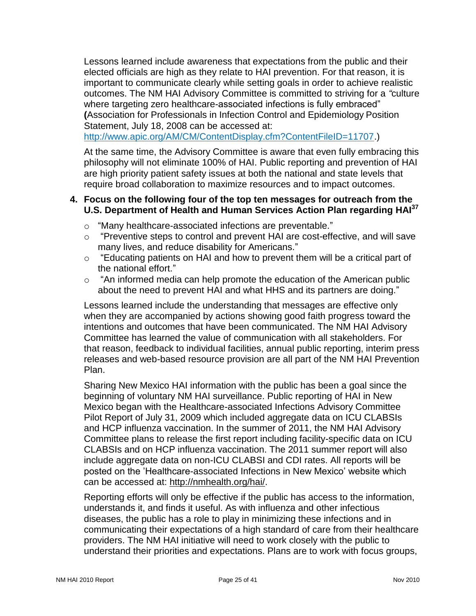Lessons learned include awareness that expectations from the public and their elected officials are high as they relate to HAI prevention. For that reason, it is important to communicate clearly while setting goals in order to achieve realistic outcomes. The NM HAI Advisory Committee is committed to striving for a *"*culture where targeting zero healthcare-associated infections is fully embraced" **(**Association for Professionals in Infection Control and Epidemiology Position Statement, July 18, 2008 can be accessed at:

[http://www.apic.org/AM/CM/ContentDisplay.cfm?ContentFileID=11707.](http://www.apic.org/AM/CM/ContentDisplay.cfm?ContentFileID=11707))

At the same time, the Advisory Committee is aware that even fully embracing this philosophy will not eliminate 100% of HAI. Public reporting and prevention of HAI are high priority patient safety issues at both the national and state levels that require broad collaboration to maximize resources and to impact outcomes.

#### **4. Focus on the following four of the top ten messages for outreach from the U.S. Department of Health and Human Services Action Plan regarding HAI<sup>37</sup>**

- o "Many healthcare-associated infections are preventable."
- "Preventive steps to control and prevent HAI are cost-effective, and will save many lives, and reduce disability for Americans."
- $\circ$  "Educating patients on HAI and how to prevent them will be a critical part of the national effort."
- $\circ$  "An informed media can help promote the education of the American public about the need to prevent HAI and what HHS and its partners are doing."

Lessons learned include the understanding that messages are effective only when they are accompanied by actions showing good faith progress toward the intentions and outcomes that have been communicated. The NM HAI Advisory Committee has learned the value of communication with all stakeholders. For that reason, feedback to individual facilities, annual public reporting, interim press releases and web-based resource provision are all part of the NM HAI Prevention Plan.

Sharing New Mexico HAI information with the public has been a goal since the beginning of voluntary NM HAI surveillance. Public reporting of HAI in New Mexico began with the Healthcare-associated Infections Advisory Committee Pilot Report of July 31, 2009 which included aggregate data on ICU CLABSIs and HCP influenza vaccination. In the summer of 2011, the NM HAI Advisory Committee plans to release the first report including facility-specific data on ICU CLABSIs and on HCP influenza vaccination. The 2011 summer report will also include aggregate data on non-ICU CLABSI and CDI rates. All reports will be posted on the 'Healthcare-associated Infections in New Mexico' website which can be accessed at: [http://nmhealth.org/hai/.](http://nmhealth.org/hai/)

Reporting efforts will only be effective if the public has access to the information, understands it, and finds it useful. As with influenza and other infectious diseases, the public has a role to play in minimizing these infections and in communicating their expectations of a high standard of care from their healthcare providers. The NM HAI initiative will need to work closely with the public to understand their priorities and expectations. Plans are to work with focus groups,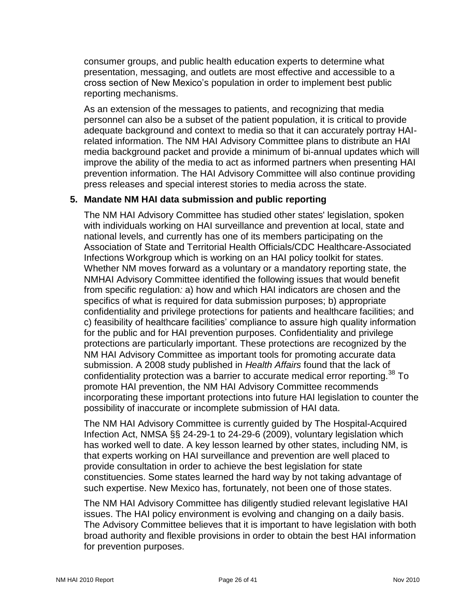consumer groups, and public health education experts to determine what presentation, messaging, and outlets are most effective and accessible to a cross section of New Mexico's population in order to implement best public reporting mechanisms.

As an extension of the messages to patients, and recognizing that media personnel can also be a subset of the patient population, it is critical to provide adequate background and context to media so that it can accurately portray HAIrelated information. The NM HAI Advisory Committee plans to distribute an HAI media background packet and provide a minimum of bi-annual updates which will improve the ability of the media to act as informed partners when presenting HAI prevention information. The HAI Advisory Committee will also continue providing press releases and special interest stories to media across the state.

#### **5. Mandate NM HAI data submission and public reporting**

The NM HAI Advisory Committee has studied other states' legislation, spoken with individuals working on HAI surveillance and prevention at local, state and national levels, and currently has one of its members participating on the Association of State and Territorial Health Officials/CDC Healthcare-Associated Infections Workgroup which is working on an HAI policy toolkit for states. Whether NM moves forward as a voluntary or a mandatory reporting state, the NMHAI Advisory Committee identified the following issues that would benefit from specific regulation*:* a) how and which HAI indicators are chosen and the specifics of what is required for data submission purposes; b) appropriate confidentiality and privilege protections for patients and healthcare facilities; and c) feasibility of healthcare facilities' compliance to assure high quality information for the public and for HAI prevention purposes. Confidentiality and privilege protections are particularly important. These protections are recognized by the NM HAI Advisory Committee as important tools for promoting accurate data submission. A 2008 study published in *Health Affairs* found that the lack of confidentiality protection was a barrier to accurate medical error reporting.<sup>38</sup> To promote HAI prevention, the NM HAI Advisory Committee recommends incorporating these important protections into future HAI legislation to counter the possibility of inaccurate or incomplete submission of HAI data.

The NM HAI Advisory Committee is currently guided by The Hospital-Acquired Infection Act, NMSA §§ 24-29-1 to 24-29-6 (2009), voluntary legislation which has worked well to date. A key lesson learned by other states, including NM, is that experts working on HAI surveillance and prevention are well placed to provide consultation in order to achieve the best legislation for state constituencies. Some states learned the hard way by not taking advantage of such expertise. New Mexico has, fortunately, not been one of those states.

The NM HAI Advisory Committee has diligently studied relevant legislative HAI issues. The HAI policy environment is evolving and changing on a daily basis. The Advisory Committee believes that it is important to have legislation with both broad authority and flexible provisions in order to obtain the best HAI information for prevention purposes.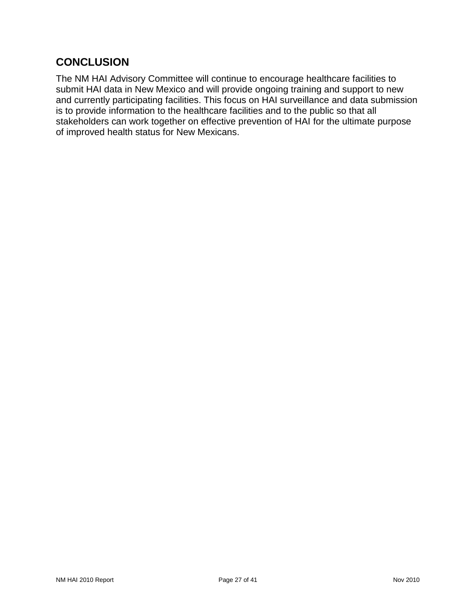### <span id="page-26-0"></span>**CONCLUSION**

The NM HAI Advisory Committee will continue to encourage healthcare facilities to submit HAI data in New Mexico and will provide ongoing training and support to new and currently participating facilities. This focus on HAI surveillance and data submission is to provide information to the healthcare facilities and to the public so that all stakeholders can work together on effective prevention of HAI for the ultimate purpose of improved health status for New Mexicans.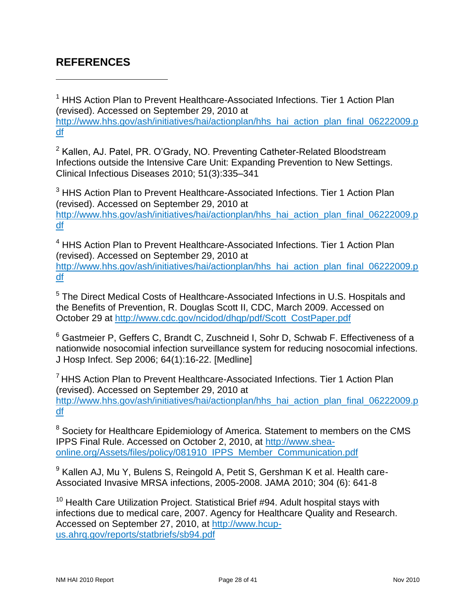### <span id="page-27-0"></span>**REFERENCES**

 $\overline{a}$ 

<sup>1</sup> HHS Action Plan to Prevent Healthcare-Associated Infections. Tier 1 Action Plan (revised). Accessed on September 29, 2010 at [http://www.hhs.gov/ash/initiatives/hai/actionplan/hhs\\_hai\\_action\\_plan\\_final\\_06222009.p](http://www.hhs.gov/ash/initiatives/hai/actionplan/hhs_hai_action_plan_final_06222009.pdf) [df](http://www.hhs.gov/ash/initiatives/hai/actionplan/hhs_hai_action_plan_final_06222009.pdf)

<sup>2</sup> Kallen, AJ. Patel, PR. O'Grady, NO. Preventing Catheter-Related Bloodstream Infections outside the Intensive Care Unit: Expanding Prevention to New Settings. Clinical Infectious Diseases 2010; 51(3):335–341

<sup>3</sup> HHS Action Plan to Prevent Healthcare-Associated Infections. Tier 1 Action Plan (revised). Accessed on September 29, 2010 at [http://www.hhs.gov/ash/initiatives/hai/actionplan/hhs\\_hai\\_action\\_plan\\_final\\_06222009.p](http://www.hhs.gov/ash/initiatives/hai/actionplan/hhs_hai_action_plan_final_06222009.pdf) [df](http://www.hhs.gov/ash/initiatives/hai/actionplan/hhs_hai_action_plan_final_06222009.pdf)

<sup>4</sup> HHS Action Plan to Prevent Healthcare-Associated Infections. Tier 1 Action Plan (revised). Accessed on September 29, 2010 at [http://www.hhs.gov/ash/initiatives/hai/actionplan/hhs\\_hai\\_action\\_plan\\_final\\_06222009.p](http://www.hhs.gov/ash/initiatives/hai/actionplan/hhs_hai_action_plan_final_06222009.pdf) [df](http://www.hhs.gov/ash/initiatives/hai/actionplan/hhs_hai_action_plan_final_06222009.pdf)

<sup>5</sup> The Direct Medical Costs of Healthcare-Associated Infections in U.S. Hospitals and the Benefits of Prevention, R. Douglas Scott II, CDC, March 2009. Accessed on October 29 at [http://www.cdc.gov/ncidod/dhqp/pdf/Scott\\_CostPaper.pdf](http://www.cdc.gov/ncidod/dhqp/pdf/Scott_CostPaper.pdf)

 $6$  Gastmeier P, Geffers C, Brandt C, Zuschneid I, Sohr D, Schwab F. Effectiveness of a nationwide nosocomial infection surveillance system for reducing nosocomial infections. J Hosp Infect. Sep 2006; 64(1):16-22. [\[Medline\]](http://www.medscape.com/medline/abstract/16820247)

<sup>7</sup> HHS Action Plan to Prevent Healthcare-Associated Infections. Tier 1 Action Plan (revised). Accessed on September 29, 2010 at [http://www.hhs.gov/ash/initiatives/hai/actionplan/hhs\\_hai\\_action\\_plan\\_final\\_06222009.p](http://www.hhs.gov/ash/initiatives/hai/actionplan/hhs_hai_action_plan_final_06222009.pdf) [df](http://www.hhs.gov/ash/initiatives/hai/actionplan/hhs_hai_action_plan_final_06222009.pdf)

<sup>8</sup> Society for Healthcare Epidemiology of America. Statement to members on the CMS IPPS Final Rule. Accessed on October 2, 2010, at [http://www.shea](http://www.shea-online.org/Assets/files/policy/081910_IPPS_Member_Communication.pdf)[online.org/Assets/files/policy/081910\\_IPPS\\_Member\\_Communication.pdf](http://www.shea-online.org/Assets/files/policy/081910_IPPS_Member_Communication.pdf)

<sup>9</sup> Kallen AJ, Mu Y, Bulens S, Reingold A, Petit S, Gershman K et al. Health care-Associated Invasive MRSA infections, 2005-2008. JAMA 2010; 304 (6): 641-8

 $10$  Health Care Utilization Project. Statistical Brief #94. Adult hospital stavs with infections due to medical care, 2007. Agency for Healthcare Quality and Research. Accessed on September 27, 2010, at [http://www.hcup](http://www.hcup-us.ahrq.gov/reports/statbriefs/sb94.pdf)[us.ahrq.gov/reports/statbriefs/sb94.pdf](http://www.hcup-us.ahrq.gov/reports/statbriefs/sb94.pdf)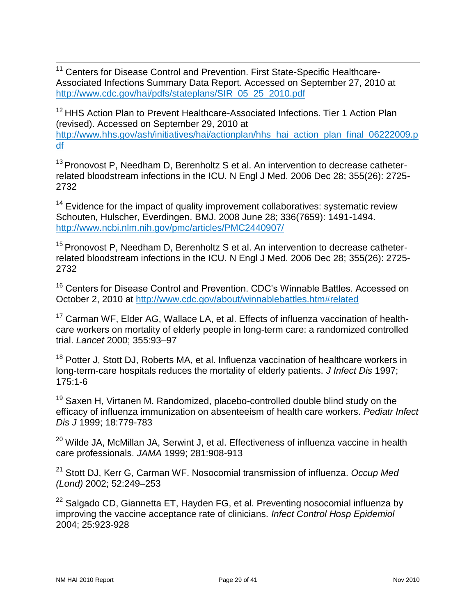$\overline{a}$ <sup>11</sup> Centers for Disease Control and Prevention. First State-Specific Healthcare-Associated Infections Summary Data Report. Accessed on September 27, 2010 at [http://www.cdc.gov/hai/pdfs/stateplans/SIR\\_05\\_25\\_2010.pdf](http://www.cdc.gov/hai/pdfs/stateplans/SIR_05_25_2010.pdf)

<sup>12</sup> HHS Action Plan to Prevent Healthcare-Associated Infections. Tier 1 Action Plan (revised). Accessed on September 29, 2010 at [http://www.hhs.gov/ash/initiatives/hai/actionplan/hhs\\_hai\\_action\\_plan\\_final\\_06222009.p](http://www.hhs.gov/ash/initiatives/hai/actionplan/hhs_hai_action_plan_final_06222009.pdf) [df](http://www.hhs.gov/ash/initiatives/hai/actionplan/hhs_hai_action_plan_final_06222009.pdf)

<sup>13</sup> Pronovost P, Needham D, Berenholtz S et al. An intervention to decrease catheterrelated bloodstream infections in the ICU. N Engl J Med. 2006 Dec 28; 355(26): 2725- 2732

<sup>14</sup> Evidence for the impact of quality improvement collaboratives: systematic review Schouten, Hulscher, Everdingen. BMJ. 2008 June 28; 336(7659): 1491-1494. <http://www.ncbi.nlm.nih.gov/pmc/articles/PMC2440907/>

<sup>15</sup> Pronovost P, Needham D, Berenholtz S et al. An intervention to decrease catheterrelated bloodstream infections in the ICU. N Engl J Med. 2006 Dec 28; 355(26): 2725- 2732

<sup>16</sup> Centers for Disease Control and Prevention. CDC's Winnable Battles. Accessed on October 2, 2010 at<http://www.cdc.gov/about/winnablebattles.htm#related>

<sup>17</sup> Carman WF, Elder AG, Wallace LA, et al. Effects of influenza vaccination of healthcare workers on mortality of elderly people in long-term care: a randomized controlled trial. *Lancet* 2000; 355:93–97

<sup>18</sup> Potter J, Stott DJ, Roberts MA, et al. Influenza vaccination of healthcare workers in long-term-care hospitals reduces the mortality of elderly patients. *J Infect Dis* 1997; 175:1-6

 $19$  Saxen H, Virtanen M. Randomized, placebo-controlled double blind study on the efficacy of influenza immunization on absenteeism of health care workers. *Pediatr Infect Dis J* 1999; 18:779-783

<sup>20</sup> Wilde JA, McMillan JA, Serwint J, et al. Effectiveness of influenza vaccine in health care professionals. *JAMA* 1999; 281:908-913

<sup>21</sup> Stott DJ, Kerr G, Carman WF. Nosocomial transmission of influenza. *Occup Med (Lond)* 2002; 52:249–253

<sup>22</sup> Salgado CD, Giannetta ET, Hayden FG, et al. Preventing nosocomial influenza by improving the vaccine acceptance rate of clinicians. *Infect Control Hosp Epidemiol*  2004; 25:923-928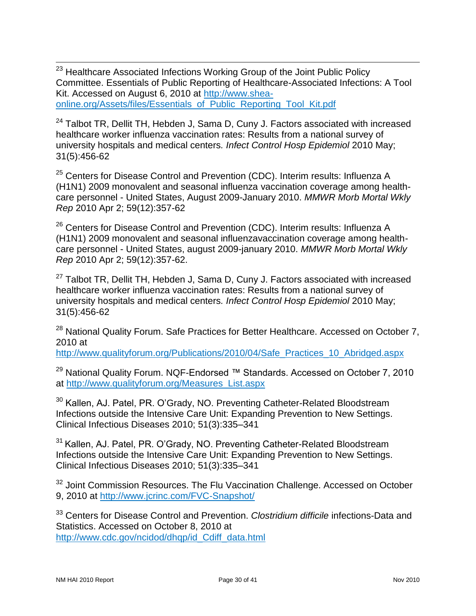$\overline{a}$ <sup>23</sup> Healthcare Associated Infections Working Group of the Joint Public Policy Committee. Essentials of Public Reporting of Healthcare-Associated Infections: A Tool Kit. Accessed on August 6, 2010 at [http://www.shea](http://www.shea-online.org/Assets/files/Essentials_of_Public_Reporting_Tool_Kit.pdf)[online.org/Assets/files/Essentials\\_of\\_Public\\_Reporting\\_Tool\\_Kit.pdf](http://www.shea-online.org/Assets/files/Essentials_of_Public_Reporting_Tool_Kit.pdf)

 $24$  Talbot TR, Dellit TH, Hebden J, Sama D, Cuny J. Factors associated with increased healthcare worker influenza vaccination rates: Results from a national survey of university hospitals and medical centers*. Infect Control Hosp Epidemiol* 2010 May; 31(5):456-62

<sup>25</sup> Centers for Disease Control and Prevention (CDC). Interim results: Influenza A (H1N1) 2009 monovalent and seasonal influenza vaccination coverage among healthcare personnel - United States, August 2009-January 2010. *MMWR Morb Mortal Wkly Rep* 2010 Apr 2; 59(12):357-62

 $26$  Centers for Disease Control and Prevention (CDC). Interim results: Influenza A (H1N1) 2009 monovalent and seasonal influenzavaccination coverage among healthcare personnel - United States, august 2009-january 2010. *MMWR Morb Mortal Wkly Rep* 2010 Apr 2; 59(12):357-62.

 $27$  Talbot TR, Dellit TH, Hebden J, Sama D, Cuny J. Factors associated with increased healthcare worker influenza vaccination rates: Results from a national survey of university hospitals and medical centers*. Infect Control Hosp Epidemiol* 2010 May; 31(5):456-62

<sup>28</sup> National Quality Forum. Safe Practices for Better Healthcare. Accessed on October 7, 2010 at

[http://www.qualityforum.org/Publications/2010/04/Safe\\_Practices\\_10\\_Abridged.aspx](http://www.qualityforum.org/Publications/2010/04/Safe_Practices_10_Abridged.aspx)

<sup>29</sup> National Quality Forum. NQF-Endorsed ™ Standards. Accessed on October 7, 2010 at [http://www.qualityforum.org/Measures\\_List.aspx](http://www.qualityforum.org/Measures_List.aspx)

<sup>30</sup> Kallen, AJ. Patel, PR. O'Grady, NO. Preventing Catheter-Related Bloodstream Infections outside the Intensive Care Unit: Expanding Prevention to New Settings. Clinical Infectious Diseases 2010; 51(3):335–341

<sup>31</sup> Kallen, AJ. Patel, PR. O'Grady, NO. Preventing Catheter-Related Bloodstream Infections outside the Intensive Care Unit: Expanding Prevention to New Settings. Clinical Infectious Diseases 2010; 51(3):335–341

<sup>32</sup> Joint Commission Resources. The Flu Vaccination Challenge. Accessed on October 9, 2010 at<http://www.jcrinc.com/FVC-Snapshot/>

<sup>33</sup> Centers for Disease Control and Prevention. *Clostridium difficile* infections-Data and Statistics. Accessed on October 8, 2010 at [http://www.cdc.gov/ncidod/dhqp/id\\_Cdiff\\_data.html](http://www.cdc.gov/ncidod/dhqp/id_Cdiff_data.html)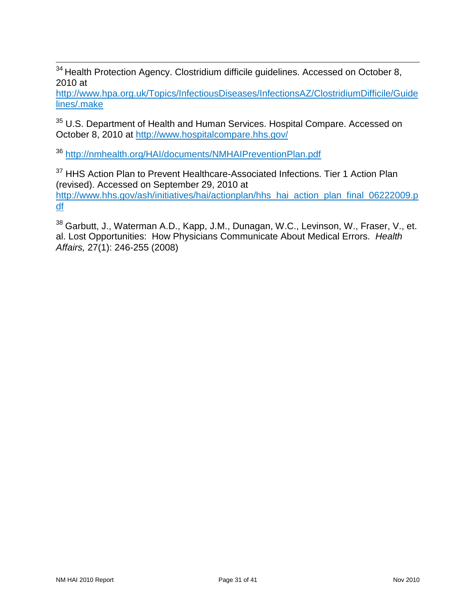$\overline{a}$  $34$  Health Protection Agency. Clostridium difficile guidelines. Accessed on October 8, 2010 at

[http://www.hpa.org.uk/Topics/InfectiousDiseases/InfectionsAZ/ClostridiumDifficile/Guide](http://www.hpa.org.uk/Topics/InfectiousDiseases/InfectionsAZ/ClostridiumDifficile/Guidelines/.make) [lines/.make](http://www.hpa.org.uk/Topics/InfectiousDiseases/InfectionsAZ/ClostridiumDifficile/Guidelines/.make)

<sup>35</sup> U.S. Department of Health and Human Services. Hospital Compare. Accessed on October 8, 2010 at<http://www.hospitalcompare.hhs.gov/>

<sup>36</sup> <http://nmhealth.org/HAI/documents/NMHAIPreventionPlan.pdf>

<sup>37</sup> HHS Action Plan to Prevent Healthcare-Associated Infections. Tier 1 Action Plan (revised). Accessed on September 29, 2010 at [http://www.hhs.gov/ash/initiatives/hai/actionplan/hhs\\_hai\\_action\\_plan\\_final\\_06222009.p](http://www.hhs.gov/ash/initiatives/hai/actionplan/hhs_hai_action_plan_final_06222009.pdf) [df](http://www.hhs.gov/ash/initiatives/hai/actionplan/hhs_hai_action_plan_final_06222009.pdf)

38 Garbutt, J., Waterman A.D., Kapp, J.M., Dunagan, W.C., Levinson, W., Fraser, V., et. al. Lost Opportunities: How Physicians Communicate About Medical Errors. *Health Affairs,* 27(1): 246-255 (2008)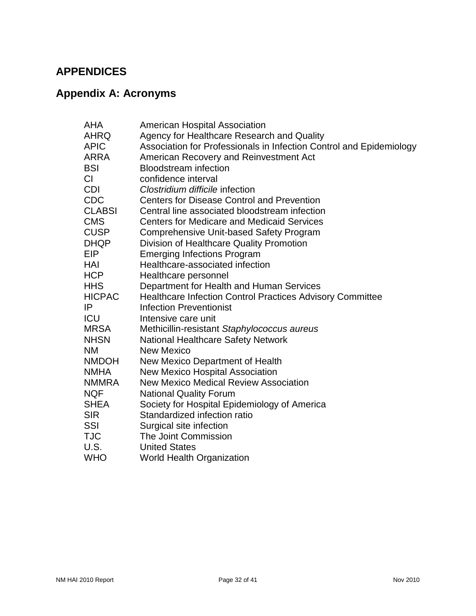### <span id="page-31-0"></span>**APPENDICES**

# <span id="page-31-1"></span>**Appendix A: Acronyms**

| <b>AHA</b>    | <b>American Hospital Association</b>                                |
|---------------|---------------------------------------------------------------------|
| <b>AHRQ</b>   | Agency for Healthcare Research and Quality                          |
| <b>APIC</b>   | Association for Professionals in Infection Control and Epidemiology |
| <b>ARRA</b>   | American Recovery and Reinvestment Act                              |
| <b>BSI</b>    | <b>Bloodstream</b> infection                                        |
| CI            | confidence interval                                                 |
| <b>CDI</b>    | Clostridium difficile infection                                     |
| <b>CDC</b>    | <b>Centers for Disease Control and Prevention</b>                   |
| <b>CLABSI</b> | Central line associated bloodstream infection                       |
| <b>CMS</b>    | <b>Centers for Medicare and Medicaid Services</b>                   |
| <b>CUSP</b>   | <b>Comprehensive Unit-based Safety Program</b>                      |
| <b>DHQP</b>   | Division of Healthcare Quality Promotion                            |
| <b>EIP</b>    | <b>Emerging Infections Program</b>                                  |
| HAI           | Healthcare-associated infection                                     |
| <b>HCP</b>    | Healthcare personnel                                                |
| <b>HHS</b>    | Department for Health and Human Services                            |
| <b>HICPAC</b> | Healthcare Infection Control Practices Advisory Committee           |
| IP            | <b>Infection Preventionist</b>                                      |
| ICU           | Intensive care unit                                                 |
| <b>MRSA</b>   | Methicillin-resistant Staphylococcus aureus                         |
| <b>NHSN</b>   | <b>National Healthcare Safety Network</b>                           |
| <b>NM</b>     | <b>New Mexico</b>                                                   |
| <b>NMDOH</b>  | New Mexico Department of Health                                     |
| <b>NMHA</b>   | <b>New Mexico Hospital Association</b>                              |
| <b>NMMRA</b>  | <b>New Mexico Medical Review Association</b>                        |
| <b>NQF</b>    | <b>National Quality Forum</b>                                       |
| <b>SHEA</b>   | Society for Hospital Epidemiology of America                        |
| <b>SIR</b>    | Standardized infection ratio                                        |
| <b>SSI</b>    | Surgical site infection                                             |
| <b>TJC</b>    | The Joint Commission                                                |
| U.S.          | <b>United States</b>                                                |
| <b>WHO</b>    | World Health Organization                                           |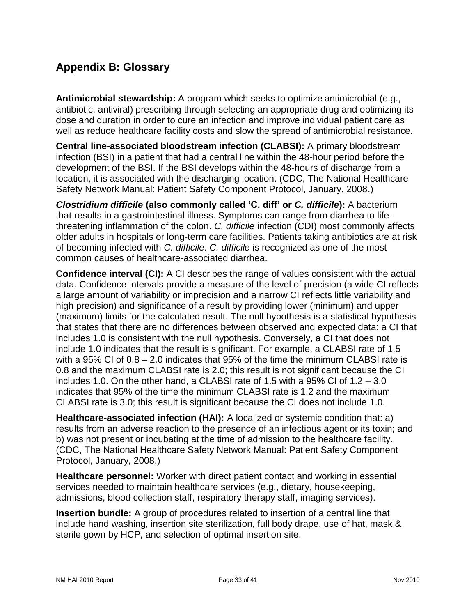### <span id="page-32-0"></span>**Appendix B: Glossary**

**Antimicrobial stewardship:** A program which seeks to optimize antimicrobial (e.g., antibiotic, antiviral) prescribing through selecting an appropriate drug and optimizing its dose and duration in order to cure an infection and improve individual patient care as well as reduce healthcare facility costs and slow the spread of antimicrobial resistance.

**Central line-associated bloodstream infection (CLABSI):** A primary bloodstream infection (BSI) in a patient that had a central line within the 48-hour period before the development of the BSI. If the BSI develops within the 48-hours of discharge from a location, it is associated with the discharging location. (CDC, The National Healthcare Safety Network Manual: Patient Safety Component Protocol, January, 2008.)

*Clostridium difficile* **(also commonly called 'C. diff' or** *C. difficile***):** A bacterium that results in a gastrointestinal illness. Symptoms can range from diarrhea to lifethreatening inflammation of the colon. *C. difficile* infection (CDI) most commonly affects older adults in hospitals or long-term care facilities. Patients taking antibiotics are at risk of becoming infected with *C. difficile*. *C. difficile* is recognized as one of the most common causes of healthcare-associated diarrhea.

**Confidence interval (CI):** A CI describes the range of values consistent with the actual data. Confidence intervals provide a measure of the level of precision (a wide CI reflects a large amount of variability or imprecision and a narrow CI reflects little variability and high precision) and significance of a result by providing lower (minimum) and upper (maximum) limits for the calculated result. The null hypothesis is a statistical hypothesis that states that there are no differences between observed and expected data: a CI that includes 1.0 is consistent with the null hypothesis. Conversely, a CI that does not include 1.0 indicates that the result is significant. For example, a CLABSI rate of 1.5 with a 95% CI of 0.8 – 2.0 indicates that 95% of the time the minimum CLABSI rate is 0.8 and the maximum CLABSI rate is 2.0; this result is not significant because the CI includes 1.0. On the other hand, a CLABSI rate of 1.5 with a 95% CI of  $1.2 - 3.0$ indicates that 95% of the time the minimum CLABSI rate is 1.2 and the maximum CLABSI rate is 3.0; this result is significant because the CI does not include 1.0.

**Healthcare-associated infection (HAI):** A localized or systemic condition that: a) results from an adverse reaction to the presence of an infectious agent or its toxin; and b) was not present or incubating at the time of admission to the healthcare facility. (CDC, The National Healthcare Safety Network Manual: Patient Safety Component Protocol, January, 2008.)

**Healthcare personnel:** Worker with direct patient contact and working in essential services needed to maintain healthcare services (e.g., dietary, housekeeping, admissions, blood collection staff, respiratory therapy staff, imaging services).

**Insertion bundle:** A group of procedures related to insertion of a central line that include hand washing, insertion site sterilization, full body drape, use of hat, mask & sterile gown by HCP, and selection of optimal insertion site.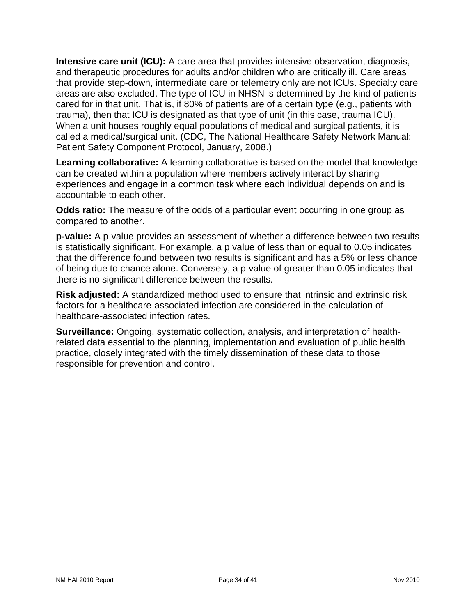**Intensive care unit (ICU):** A care area that provides intensive observation, diagnosis, and therapeutic procedures for adults and/or children who are critically ill. Care areas that provide step-down, intermediate care or telemetry only are not ICUs. Specialty care areas are also excluded. The type of ICU in NHSN is determined by the kind of patients cared for in that unit. That is, if 80% of patients are of a certain type (e.g., patients with trauma), then that ICU is designated as that type of unit (in this case, trauma ICU). When a unit houses roughly equal populations of medical and surgical patients, it is called a medical/surgical unit. (CDC, The National Healthcare Safety Network Manual: Patient Safety Component Protocol, January, 2008.)

**Learning collaborative:** A learning collaborative is based on the model that knowledge can be created within a population where members actively interact by sharing experiences and engage in a common task where each individual depends on and is accountable to each other.

**Odds ratio:** The measure of the odds of a particular event occurring in one group as compared to another.

**p-value:** A p-value provides an assessment of whether a difference between two results is statistically significant. For example, a p value of less than or equal to 0.05 indicates that the difference found between two results is significant and has a 5% or less chance of being due to chance alone. Conversely, a p-value of greater than 0.05 indicates that there is no significant difference between the results.

**Risk adjusted:** A standardized method used to ensure that intrinsic and extrinsic risk factors for a healthcare-associated infection are considered in the calculation of healthcare-associated infection rates.

**Surveillance:** Ongoing, systematic collection, analysis, and interpretation of healthrelated data essential to the planning, implementation and evaluation of public health practice, closely integrated with the timely dissemination of these data to those responsible for prevention and control.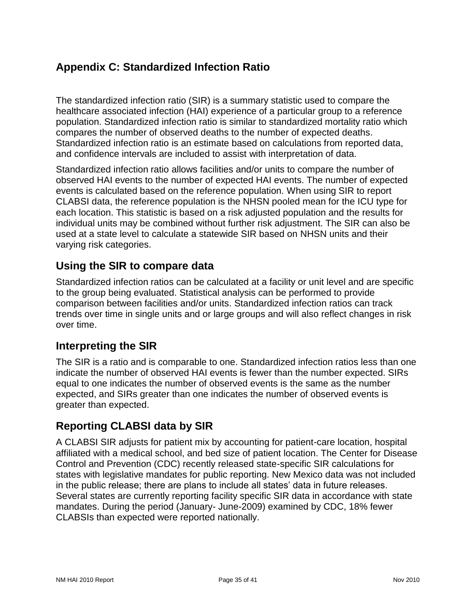### <span id="page-34-0"></span>**Appendix C: Standardized Infection Ratio**

The standardized infection ratio (SIR) is a summary statistic used to compare the healthcare associated infection (HAI) experience of a particular group to a reference population. Standardized infection ratio is similar to standardized mortality ratio which compares the number of observed deaths to the number of expected deaths. Standardized infection ratio is an estimate based on calculations from reported data, and confidence intervals are included to assist with interpretation of data.

Standardized infection ratio allows facilities and/or units to compare the number of observed HAI events to the number of expected HAI events. The number of expected events is calculated based on the reference population. When using SIR to report CLABSI data, the reference population is the NHSN pooled mean for the ICU type for each location. This statistic is based on a risk adjusted population and the results for individual units may be combined without further risk adjustment. The SIR can also be used at a state level to calculate a statewide SIR based on NHSN units and their varying risk categories.

### **Using the SIR to compare data**

Standardized infection ratios can be calculated at a facility or unit level and are specific to the group being evaluated. Statistical analysis can be performed to provide comparison between facilities and/or units. Standardized infection ratios can track trends over time in single units and or large groups and will also reflect changes in risk over time.

### **Interpreting the SIR**

The SIR is a ratio and is comparable to one. Standardized infection ratios less than one indicate the number of observed HAI events is fewer than the number expected. SIRs equal to one indicates the number of observed events is the same as the number expected, and SIRs greater than one indicates the number of observed events is greater than expected.

### **Reporting CLABSI data by SIR**

A CLABSI SIR adjusts for patient mix by accounting for patient-care location, hospital affiliated with a medical school, and bed size of patient location. The Center for Disease Control and Prevention (CDC) recently released state-specific SIR calculations for states with legislative mandates for public reporting. New Mexico data was not included in the public release; there are plans to include all states' data in future releases. Several states are currently reporting facility specific SIR data in accordance with state mandates. During the period (January- June-2009) examined by CDC, 18% fewer CLABSIs than expected were reported nationally.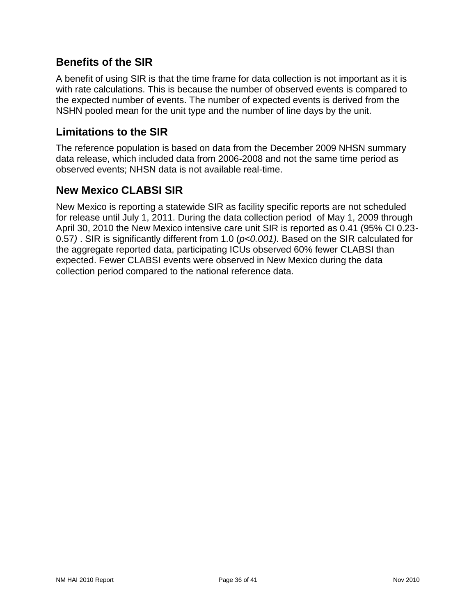### **Benefits of the SIR**

A benefit of using SIR is that the time frame for data collection is not important as it is with rate calculations. This is because the number of observed events is compared to the expected number of events. The number of expected events is derived from the NSHN pooled mean for the unit type and the number of line days by the unit.

### **Limitations to the SIR**

The reference population is based on data from the December 2009 NHSN summary data release, which included data from 2006-2008 and not the same time period as observed events; NHSN data is not available real-time.

### **New Mexico CLABSI SIR**

New Mexico is reporting a statewide SIR as facility specific reports are not scheduled for release until July 1, 2011. During the data collection period of May 1, 2009 through April 30, 2010 the New Mexico intensive care unit SIR is reported as 0.41 (95% CI 0.23- 0.57*)* . SIR is significantly different from 1.0 (*p<0.001).* Based on the SIR calculated for the aggregate reported data, participating ICUs observed 60% fewer CLABSI than expected. Fewer CLABSI events were observed in New Mexico during the data collection period compared to the national reference data.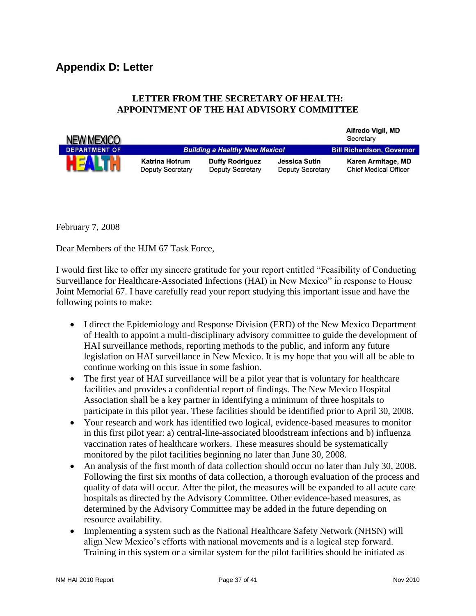#### <span id="page-36-0"></span>**LETTER FROM THE SECRETARY OF HEALTH: APPOINTMENT OF THE HAI ADVISORY COMMITTEE**

| <b>NEW MEXICO</b>    |                                                  |                                                   |                                                 | Altreao Vigil, MD<br>Secretary                     |
|----------------------|--------------------------------------------------|---------------------------------------------------|-------------------------------------------------|----------------------------------------------------|
| <b>DEPARTMENT OF</b> |                                                  | <b>Building a Healthy New Mexico!</b>             |                                                 | <b>Bill Richardson, Governor</b>                   |
| <b>HEALTH</b>        | <b>Katrina Hotrum</b><br><b>Deputy Secretary</b> | <b>Duffy Rodriguez</b><br><b>Deputy Secretary</b> | <b>Jessica Sutin</b><br><b>Deputy Secretary</b> | Karen Armitage, MD<br><b>Chief Medical Officer</b> |

February 7, 2008

Dear Members of the HJM 67 Task Force,

I would first like to offer my sincere gratitude for your report entitled "Feasibility of Conducting Surveillance for Healthcare-Associated Infections (HAI) in New Mexico" in response to House Joint Memorial 67. I have carefully read your report studying this important issue and have the following points to make:

- I direct the Epidemiology and Response Division (ERD) of the New Mexico Department of Health to appoint a multi-disciplinary advisory committee to guide the development of HAI surveillance methods, reporting methods to the public, and inform any future legislation on HAI surveillance in New Mexico. It is my hope that you will all be able to continue working on this issue in some fashion.
- The first year of HAI surveillance will be a pilot year that is voluntary for healthcare facilities and provides a confidential report of findings. The New Mexico Hospital Association shall be a key partner in identifying a minimum of three hospitals to participate in this pilot year. These facilities should be identified prior to April 30, 2008.
- Your research and work has identified two logical, evidence-based measures to monitor in this first pilot year: a) central-line-associated bloodstream infections and b) influenza vaccination rates of healthcare workers. These measures should be systematically monitored by the pilot facilities beginning no later than June 30, 2008.
- An analysis of the first month of data collection should occur no later than July 30, 2008. Following the first six months of data collection, a thorough evaluation of the process and quality of data will occur. After the pilot, the measures will be expanded to all acute care hospitals as directed by the Advisory Committee. Other evidence-based measures, as determined by the Advisory Committee may be added in the future depending on resource availability.
- Implementing a system such as the National Healthcare Safety Network (NHSN) will align New Mexico's efforts with national movements and is a logical step forward. Training in this system or a similar system for the pilot facilities should be initiated as

 $A$ Boods  $M$  of  $B$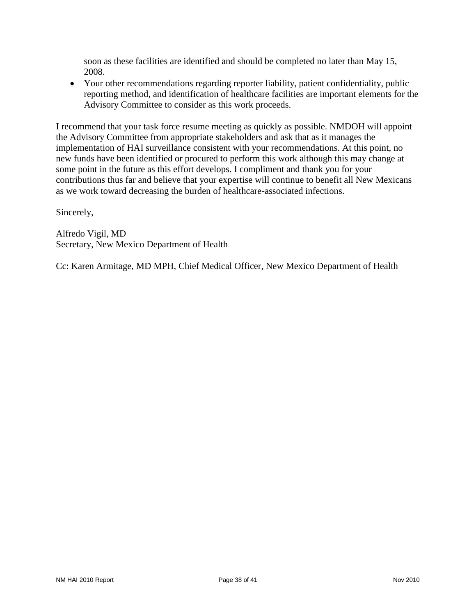soon as these facilities are identified and should be completed no later than May 15, 2008.

 Your other recommendations regarding reporter liability, patient confidentiality, public reporting method, and identification of healthcare facilities are important elements for the Advisory Committee to consider as this work proceeds.

I recommend that your task force resume meeting as quickly as possible. NMDOH will appoint the Advisory Committee from appropriate stakeholders and ask that as it manages the implementation of HAI surveillance consistent with your recommendations. At this point, no new funds have been identified or procured to perform this work although this may change at some point in the future as this effort develops. I compliment and thank you for your contributions thus far and believe that your expertise will continue to benefit all New Mexicans as we work toward decreasing the burden of healthcare-associated infections.

Sincerely,

Alfredo Vigil, MD Secretary, New Mexico Department of Health

Cc: Karen Armitage, MD MPH, Chief Medical Officer, New Mexico Department of Health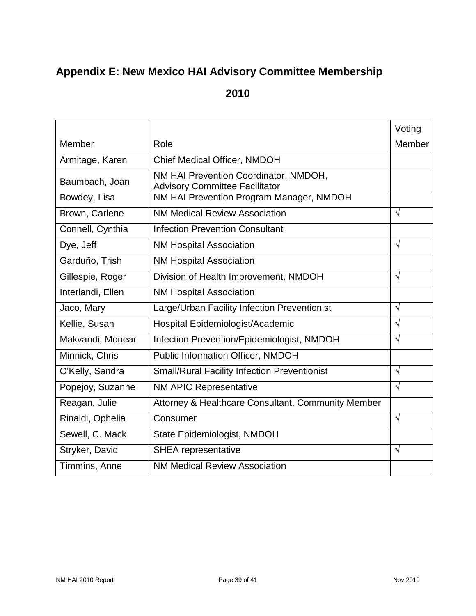# <span id="page-38-0"></span>**Appendix E: New Mexico HAI Advisory Committee Membership**

**2010**

|                   |                                                                                | Voting     |
|-------------------|--------------------------------------------------------------------------------|------------|
| Member            | Role                                                                           | Member     |
| Armitage, Karen   | Chief Medical Officer, NMDOH                                                   |            |
| Baumbach, Joan    | NM HAI Prevention Coordinator, NMDOH,<br><b>Advisory Committee Facilitator</b> |            |
| Bowdey, Lisa      | NM HAI Prevention Program Manager, NMDOH                                       |            |
| Brown, Carlene    | <b>NM Medical Review Association</b>                                           | $\sqrt{ }$ |
| Connell, Cynthia  | <b>Infection Prevention Consultant</b>                                         |            |
| Dye, Jeff         | <b>NM Hospital Association</b>                                                 | $\sqrt{ }$ |
| Garduño, Trish    | <b>NM Hospital Association</b>                                                 |            |
| Gillespie, Roger  | Division of Health Improvement, NMDOH                                          | $\sqrt{ }$ |
| Interlandi, Ellen | <b>NM Hospital Association</b>                                                 |            |
| Jaco, Mary        | Large/Urban Facility Infection Preventionist                                   | $\sqrt{ }$ |
| Kellie, Susan     | Hospital Epidemiologist/Academic                                               | $\sqrt{ }$ |
| Makvandi, Monear  | Infection Prevention/Epidemiologist, NMDOH                                     | $\sqrt{ }$ |
| Minnick, Chris    | Public Information Officer, NMDOH                                              |            |
| O'Kelly, Sandra   | <b>Small/Rural Facility Infection Preventionist</b>                            | $\sqrt{ }$ |
| Popejoy, Suzanne  | <b>NM APIC Representative</b>                                                  | $\sqrt{ }$ |
| Reagan, Julie     | Attorney & Healthcare Consultant, Community Member                             |            |
| Rinaldi, Ophelia  | Consumer                                                                       | $\sqrt{ }$ |
| Sewell, C. Mack   | State Epidemiologist, NMDOH                                                    |            |
| Stryker, David    | <b>SHEA</b> representative                                                     | $\sqrt{ }$ |
| Timmins, Anne     | <b>NM Medical Review Association</b>                                           |            |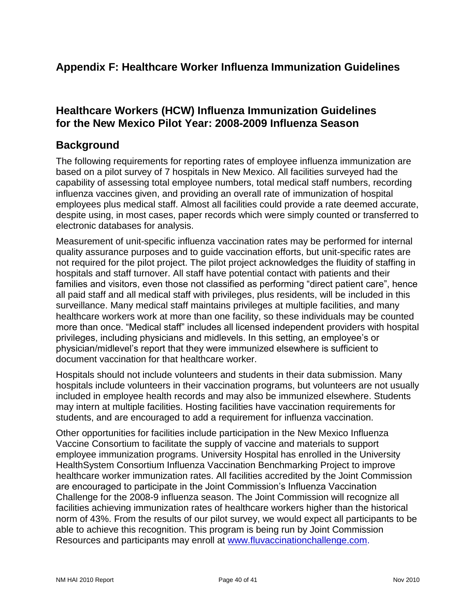### <span id="page-39-0"></span>**Appendix F: Healthcare Worker Influenza Immunization Guidelines**

### **Healthcare Workers (HCW) Influenza Immunization Guidelines for the New Mexico Pilot Year: 2008-2009 Influenza Season**

### **Background**

The following requirements for reporting rates of employee influenza immunization are based on a pilot survey of 7 hospitals in New Mexico. All facilities surveyed had the capability of assessing total employee numbers, total medical staff numbers, recording influenza vaccines given, and providing an overall rate of immunization of hospital employees plus medical staff. Almost all facilities could provide a rate deemed accurate, despite using, in most cases, paper records which were simply counted or transferred to electronic databases for analysis.

Measurement of unit-specific influenza vaccination rates may be performed for internal quality assurance purposes and to guide vaccination efforts, but unit-specific rates are not required for the pilot project. The pilot project acknowledges the fluidity of staffing in hospitals and staff turnover. All staff have potential contact with patients and their families and visitors, even those not classified as performing "direct patient care", hence all paid staff and all medical staff with privileges, plus residents, will be included in this surveillance. Many medical staff maintains privileges at multiple facilities, and many healthcare workers work at more than one facility, so these individuals may be counted more than once. "Medical staff" includes all licensed independent providers with hospital privileges, including physicians and midlevels. In this setting, an employee's or physician/midlevel's report that they were immunized elsewhere is sufficient to document vaccination for that healthcare worker.

Hospitals should not include volunteers and students in their data submission. Many hospitals include volunteers in their vaccination programs, but volunteers are not usually included in employee health records and may also be immunized elsewhere. Students may intern at multiple facilities. Hosting facilities have vaccination requirements for students, and are encouraged to add a requirement for influenza vaccination.

Other opportunities for facilities include participation in the New Mexico Influenza Vaccine Consortium to facilitate the supply of vaccine and materials to support employee immunization programs. University Hospital has enrolled in the University HealthSystem Consortium Influenza Vaccination Benchmarking Project to improve healthcare worker immunization rates. All facilities accredited by the Joint Commission are encouraged to participate in the Joint Commission's Influenza Vaccination Challenge for the 2008-9 influenza season. The Joint Commission will recognize all facilities achieving immunization rates of healthcare workers higher than the historical norm of 43%. From the results of our pilot survey, we would expect all participants to be able to achieve this recognition. This program is being run by Joint Commission Resources and participants may enroll at [www.fluvaccinationchallenge.com.](http://www.fluvaccinationchallenge.com/)